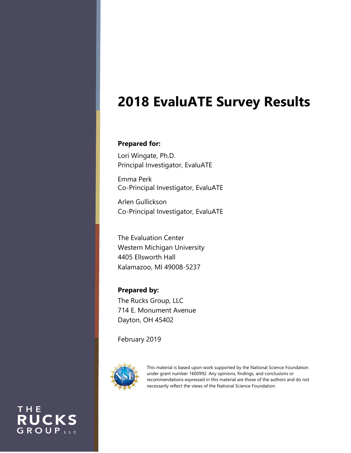# **2018 EvaluATE Survey Results**

### **Prepared for:**

Lori Wingate, Ph.D. Principal Investigator, EvaluATE

Emma Perk Co-Principal Investigator, EvaluATE

Arlen Gullickson Co-Principal Investigator, EvaluATE

The Evaluation Center Western Michigan University 4405 Ellsworth Hall Kalamazoo, MI 49008-5237

**Prepared by:** The Rucks Group, LLC 714 E. Monument Avenue Dayton, OH 45402

February 2019



This material is based upon work supported by the National Science Foundation under grant number 1600992. Any opinions, findings, and conclusions or recommendations expressed in this material are those of the authors and do not necessarily reflect the views of the National Science Foundation.

THE **RUCKS** GROUPLLC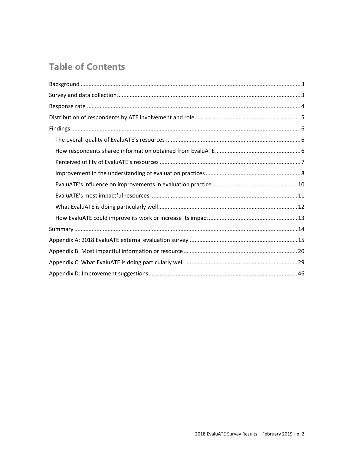## **Table of Contents**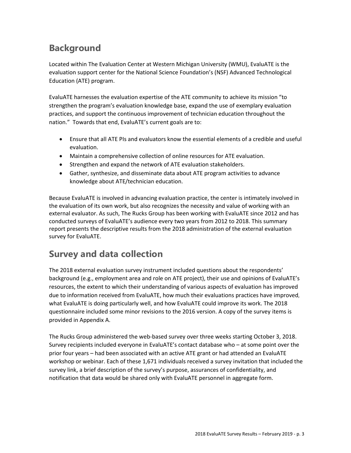## <span id="page-2-0"></span>**Background**

Located within The Evaluation Center at Western Michigan University (WMU), EvaluATE is the evaluation support center for the National Science Foundation's (NSF) Advanced Technological Education (ATE) program.

EvaluATE harnesses the evaluation expertise of the ATE community to achieve its mission "to strengthen the program's evaluation knowledge base, expand the use of exemplary evaluation practices, and support the continuous improvement of technician education throughout the nation." Towards that end, EvaluATE's current goals are to:

- Ensure that all ATE PIs and evaluators know the essential elements of a credible and useful evaluation.
- Maintain a comprehensive collection of online resources for ATE evaluation.
- Strengthen and expand the network of ATE evaluation stakeholders.
- Gather, synthesize, and disseminate data about ATE program activities to advance knowledge about ATE/technician education.

Because EvaluATE is involved in advancing evaluation practice, the center is intimately involved in the evaluation of its own work, but also recognizes the necessity and value of working with an external evaluator. As such, The Rucks Group has been working with EvaluATE since 2012 and has conducted surveys of EvaluATE's audience every two years from 2012 to 2018. This summary report presents the descriptive results from the 2018 administration of the external evaluation survey for EvaluATE.

## <span id="page-2-1"></span>**Survey and data collection**

The 2018 external evaluation survey instrument included questions about the respondents' background (e.g., employment area and role on ATE project), their use and opinions of EvaluATE's resources, the extent to which their understanding of various aspects of evaluation has improved due to information received from EvaluATE, how much their evaluations practices have improved, what EvaluATE is doing particularly well, and how EvaluATE could improve its work. The 2018 questionnaire included some minor revisions to the 2016 version. A copy of the survey items is provided in Appendix A.

The Rucks Group administered the web-based survey over three weeks starting October 3, 2018. Survey recipients included everyone in EvaluATE's contact database who – at some point over the prior four years – had been associated with an active ATE grant or had attended an EvaluATE workshop or webinar. Each of these 1,671 individuals received a survey invitation that included the survey link, a brief description of the survey's purpose, assurances of confidentiality, and notification that data would be shared only with EvaluATE personnel in aggregate form.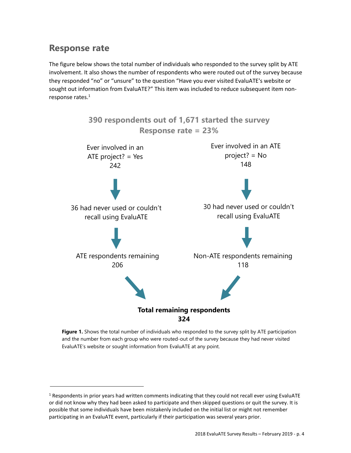## <span id="page-3-0"></span>**Response rate**

The figure below shows the total number of individuals who responded to the survey split by ATE involvement. It also shows the number of respondents who were routed out of the survey because they responded "no" or "unsure" to the question "Have you ever visited EvaluATE's website or sought out information from EvaluATE?" This item was included to reduce subsequent item nonresponse rates. 1



**Figure 1.** Shows the total number of individuals who responded to the survey split by ATE participation and the number from each group who were routed-out of the survey because they had never visited EvaluATE's website or sought information from EvaluATE at any point.

 $1$  Respondents in prior years had written comments indicating that they could not recall ever using EvaluATE or did not know why they had been asked to participate and then skipped questions or quit the survey. It is possible that some individuals have been mistakenly included on the initial list or might not remember participating in an EvaluATE event, particularly if their participation was several years prior.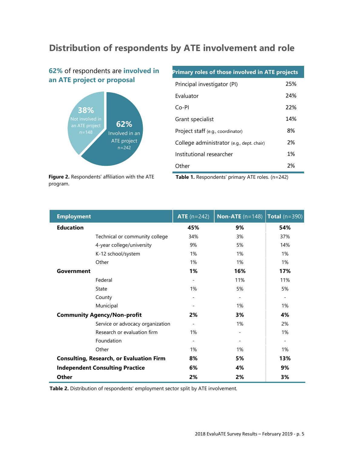## <span id="page-4-0"></span>**Distribution of respondents by ATE involvement and role**

### **62%** of respondents are **involved in an ATE project or proposal**



**Primary roles of those involved in ATE projects**  Principal investigator (PI) 25% Evaluator 24% Co-PI 22% Grant specialist 14% Project staff (e.g., coordinator) 8% College administrator (e.g., dept. chair) 2% Institutional researcher 1% Other 2%

**Figure 2.** Respondents' affiliation with the ATE program.

Table 1. Respondents' primary ATE roles. (n=242)

| <b>Employment</b> |                                                 | <b>ATE</b> $(n=242)$     | <b>Non-ATE</b> $(n=148)$     | Total $(n=390)$          |
|-------------------|-------------------------------------------------|--------------------------|------------------------------|--------------------------|
| <b>Education</b>  |                                                 | 45%                      | 9%                           | 54%                      |
|                   | Technical or community college                  | 34%                      | 3%                           | 37%                      |
|                   | 4-year college/university                       | 9%                       | 5%                           | 14%                      |
|                   | K-12 school/system                              | 1%                       | 1%                           | 1%                       |
|                   | Other                                           | $1\%$                    | 1%                           | 1%                       |
| Government        |                                                 | 1%                       | 16%                          | 17%                      |
|                   | Federal                                         |                          | 11%                          | 11%                      |
|                   | State                                           | 1%                       | 5%                           | 5%                       |
|                   | County                                          |                          | $\overline{\phantom{a}}$     | $\overline{\phantom{a}}$ |
|                   | Municipal                                       |                          | 1%                           | 1%                       |
|                   | <b>Community Agency/Non-profit</b>              | 2%                       | 3%                           | 4%                       |
|                   | Service or advocacy organization                | $\overline{\phantom{a}}$ | 1%                           | 2%                       |
|                   | Research or evaluation firm                     | 1%                       | $\overline{\phantom{a}}$     | 1%                       |
|                   | Foundation                                      |                          | $\qquad \qquad \blacksquare$ | $\overline{\phantom{a}}$ |
|                   | Other                                           | 1%                       | 1%                           | 1%                       |
|                   | <b>Consulting, Research, or Evaluation Firm</b> | 8%                       | 5%                           | 13%                      |
|                   | <b>Independent Consulting Practice</b>          | 6%                       | 4%                           | 9%                       |
| <b>Other</b>      |                                                 | 2%                       | 2%                           | 3%                       |

**Table 2.** Distribution of respondents' employment sector split by ATE involvement.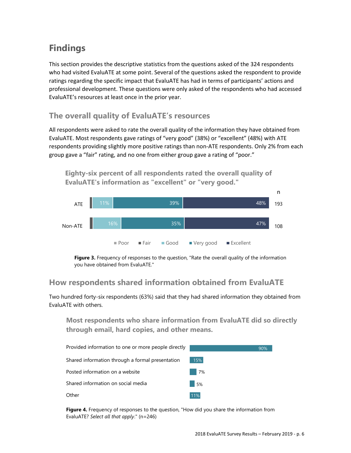## <span id="page-5-0"></span>**Findings**

This section provides the descriptive statistics from the questions asked of the 324 respondents who had visited EvaluATE at some point. Several of the questions asked the respondent to provide ratings regarding the specific impact that EvaluATE has had in terms of participants' actions and professional development. These questions were only asked of the respondents who had accessed EvaluATE's resources at least once in the prior year.

### <span id="page-5-1"></span>**The overall quality of EvaluATE's resources**

All respondents were asked to rate the overall quality of the information they have obtained from EvaluATE. Most respondents gave ratings of "very good" (38%) or "excellent" (48%) with ATE respondents providing slightly more positive ratings than non‐ATE respondents. Only 2% from each group gave a "fair" rating, and no one from either group gave a rating of "poor."

**Eighty-six percent of all respondents rated the overall quality of EvaluATE's information as "excellent" or "very good."**



**Figure 3.** Frequency of responses to the question, "Rate the overall quality of the information you have obtained from EvaluATE."

### <span id="page-5-2"></span>**How respondents shared information obtained from EvaluATE**

Two hundred forty-six respondents (63%) said that they had shared information they obtained from EvaluATE with others.

**Most respondents who share information from EvaluATE did so directly through email, hard copies, and other means.**



**Figure 4.** Frequency of responses to the question, "How did you share the information from EvaluATE? *Select all that apply*." (n=246)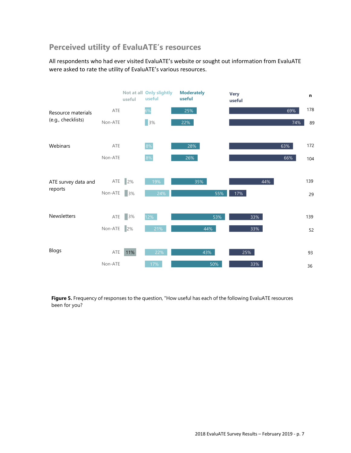### <span id="page-6-0"></span>**Perceived utility of EvaluATE's resources**

All respondents who had ever visited EvaluATE's website or sought out information from EvaluATE were asked to rate the utility of EvaluATE's various resources.



**Figure 5.** Frequency of responses to the question, "How useful has each of the following EvaluATE resources been for you?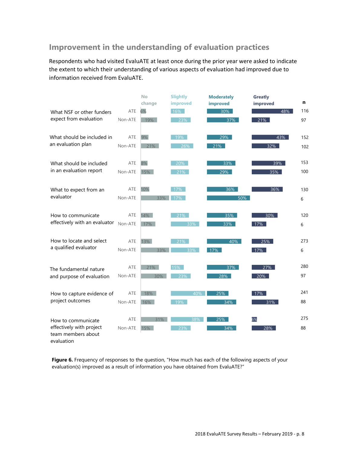## <span id="page-7-0"></span>**Improvement in the understanding of evaluation practices**

Respondents who had visited EvaluATE at least once during the prior year were asked to indicate the extent to which their understanding of various aspects of evaluation had improved due to information received from EvaluATE.

|                                                              |         | No<br>change | <b>Slightly</b><br>improved  | <b>Moderately</b><br>improved | <b>Greatly</b><br>improved | n   |
|--------------------------------------------------------------|---------|--------------|------------------------------|-------------------------------|----------------------------|-----|
| What NSF or other funders                                    | ATE     | 6%           | 16%                          | 30%                           | 48%                        | 116 |
| expect from evaluation                                       | Non-ATE | 19%          | $\overline{\phantom{1}}$ 23% | 37%                           | 21%                        | 97  |
| What should be included in                                   | ATE     | 9%           | 19%                          | 29%                           | 43%                        | 152 |
| an evaluation plan                                           | Non-ATE | 21%          | 26%                          | 21%                           | 32%                        | 102 |
| What should be included                                      | ATE     | 8%           | 20%                          | 33%                           | 39%                        | 153 |
| in an evaluation report                                      | Non-ATE | 15%          | 21%                          | 29%                           | 35%                        | 100 |
| What to expect from an                                       | ATE     | 10%          | 17%                          | 36%                           | 36%                        | 130 |
| evaluator                                                    | Non-ATE | 33%          | 17%                          | 50%                           |                            | 6   |
| How to communicate                                           | ATE     | 14%          | 21%                          | 35%                           | 30%                        | 120 |
| effectively with an evaluator                                | Non-ATE | 17%          | 33%                          | 33%                           | 17%                        | 6   |
| How to locate and select                                     | ATE     | 13%          | 21%                          | 40%                           | 25%                        | 273 |
| a qualified evaluator                                        | Non-ATE | 33%          | 33%                          | 17%                           | 17%                        | 6   |
| The fundamental nature                                       | ATE     | 21%          | 15%                          | 37%                           | 27%                        | 280 |
| and purpose of evaluation                                    | Non-ATE | 30%          | 23%                          | 28%                           | 20%                        | 97  |
| How to capture evidence of                                   | ATE     | 18%          | 40%                          | 25%                           | 17%                        | 241 |
| project outcomes                                             | Non-ATE | 16%          | 19%                          | 34%                           | 31%                        | 88  |
| How to communicate                                           | ATE     | 31%          | 38%                          | 25%                           | 6%                         | 275 |
| effectively with project<br>team members about<br>evaluation | Non-ATE | 15%          | 23%                          | 34%                           | 28%                        | 88  |

Figure 6. Frequency of responses to the question, "How much has each of the following aspects of your evaluation(s) improved as a result of information you have obtained from EvaluATE?"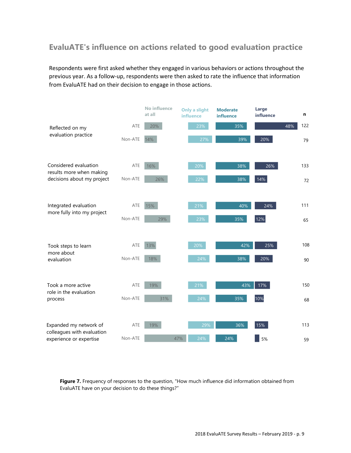## **EvaluATE's influence on actions related to good evaluation practice**

Respondents were first asked whether they engaged in various behaviors or actions throughout the previous year. As a follow-up, respondents were then asked to rate the influence that information from EvaluATE had on their decision to engage in those actions.



**Figure 7.** Frequency of responses to the question, "How much influence did information obtained from EvaluATE have on your decision to do these things?"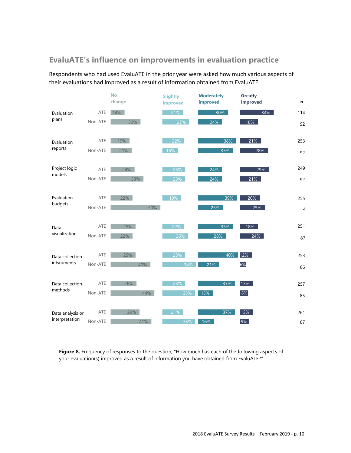### <span id="page-9-0"></span>**EvaluATE's influence on improvements in evaluation practice**

Respondents who had used EvaluATE in the prior year were asked how much various aspects of their evaluations had improved as a result of information obtained from EvaluATE.



**Figure 8.** Frequency of responses to the question, "How much has each of the following aspects of your evaluation(s) improved as a result of information you have obtained from EvaluATE?"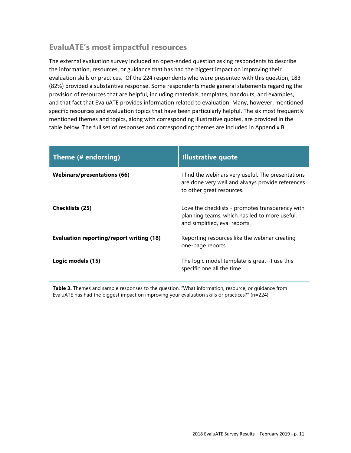### <span id="page-10-0"></span>**EvaluATE's most impactful resources**

The external evaluation survey included an open‐ended question asking respondents to describe the information, resources, or guidance that has had the biggest impact on improving their evaluation skills or practices. Of the 224 respondents who were presented with this question, 183 (82%) provided a substantive response. Some respondents made general statements regarding the provision of resources that are helpful, including materials, templates, handouts, and examples, and that fact that EvaluATE provides information related to evaluation. Many, however, mentioned specific resources and evaluation topics that have been particularly helpful. The six most frequently mentioned themes and topics, along with corresponding illustrative quotes, are provided in the table below. The full set of responses and corresponding themes are included in Appendix B.

| Theme (# endorsing)                             | <b>Illustrative quote</b>                                                                                                           |
|-------------------------------------------------|-------------------------------------------------------------------------------------------------------------------------------------|
| <b>Webinars/presentations (66)</b>              | I find the webinars very useful. The presentations<br>are done very well and always provide references<br>to other great resources. |
| <b>Checklists (25)</b>                          | Love the checklists - promotes transparency with<br>planning teams, which has led to more useful,<br>and simplified, eval reports.  |
| <b>Evaluation reporting/report writing (18)</b> | Reporting resources like the webinar creating<br>one-page reports.                                                                  |
| Logic models (15)                               | The logic model template is great--I use this<br>specific one all the time                                                          |

**Table 3.** Themes and sample responses to the question, "What information, resource, or guidance from EvaluATE has had the biggest impact on improving your evaluation skills or practices?" (n=224)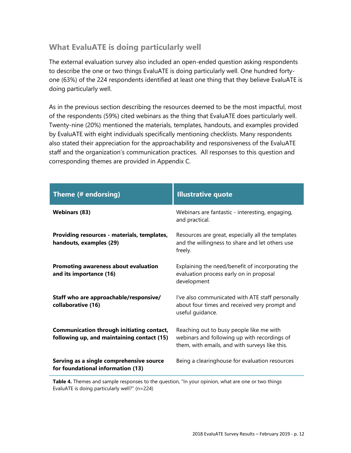## <span id="page-11-0"></span>**What EvaluATE is doing particularly well**

The external evaluation survey also included an open-ended question asking respondents to describe the one or two things EvaluATE is doing particularly well. One hundred fortyone (63%) of the 224 respondents identified at least one thing that they believe EvaluATE is doing particularly well.

As in the previous section describing the resources deemed to be the most impactful, most of the respondents (59%) cited webinars as the thing that EvaluATE does particularly well. Twenty-nine (20%) mentioned the materials, templates, handouts, and examples provided by EvaluATE with eight individuals specifically mentioning checklists. Many respondents also stated their appreciation for the approachability and responsiveness of the EvaluATE staff and the organization's communication practices. All responses to this question and corresponding themes are provided in Appendix C.

| Theme (# endorsing)                                                                            | <b>Illustrative quote</b>                                                                                                                  |
|------------------------------------------------------------------------------------------------|--------------------------------------------------------------------------------------------------------------------------------------------|
| <b>Webinars (83)</b>                                                                           | Webinars are fantastic - interesting, engaging,<br>and practical.                                                                          |
| Providing resources - materials, templates,<br>handouts, examples (29)                         | Resources are great, especially all the templates<br>and the willingness to share and let others use<br>freely.                            |
| Promoting awareness about evaluation<br>and its importance (16)                                | Explaining the need/benefit of incorporating the<br>evaluation process early on in proposal<br>development                                 |
| Staff who are approachable/responsive/<br>collaborative (16)                                   | I've also communicated with ATE staff personally<br>about four times and received very prompt and<br>useful guidance.                      |
| <b>Communication through initiating contact,</b><br>following up, and maintaining contact (15) | Reaching out to busy people like me with<br>webinars and following up with recordings of<br>them, with emails, and with surveys like this. |
| Serving as a single comprehensive source<br>for foundational information (13)                  | Being a clearinghouse for evaluation resources                                                                                             |

**Table 4.** Themes and sample responses to the question, "In your opinion, what are one or two things EvaluATE is doing particularly well?" (n=224)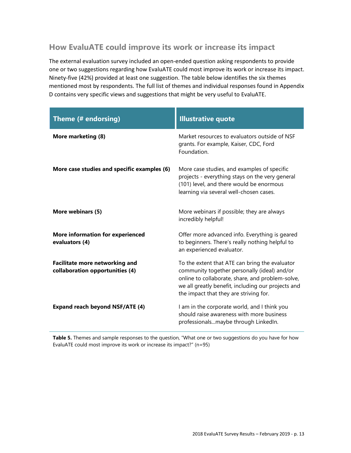### <span id="page-12-0"></span>**How EvaluATE could improve its work or increase its impact**

The external evaluation survey included an open‐ended question asking respondents to provide one or two suggestions regarding how EvaluATE could most improve its work or increase its impact. Ninety-five (42%) provided at least one suggestion. The table below identifies the six themes mentioned most by respondents. The full list of themes and individual responses found in Appendix D contains very specific views and suggestions that might be very useful to EvaluATE.

| Theme (# endorsing)                                                      | <b>Illustrative quote</b>                                                                                                                                                                                                                          |
|--------------------------------------------------------------------------|----------------------------------------------------------------------------------------------------------------------------------------------------------------------------------------------------------------------------------------------------|
| More marketing (8)                                                       | Market resources to evaluators outside of NSF<br>grants. For example, Kaiser, CDC, Ford<br>Foundation.                                                                                                                                             |
| More case studies and specific examples (6)                              | More case studies, and examples of specific<br>projects - everything stays on the very general<br>(101) level, and there would be enormous<br>learning via several well-chosen cases.                                                              |
| More webinars (5)                                                        | More webinars if possible; they are always<br>incredibly helpful!                                                                                                                                                                                  |
| <b>More information for experienced</b><br>evaluators (4)                | Offer more advanced info. Everything is geared<br>to beginners. There's really nothing helpful to<br>an experienced evaluator.                                                                                                                     |
| <b>Facilitate more networking and</b><br>collaboration opportunities (4) | To the extent that ATE can bring the evaluator<br>community together personally (ideal) and/or<br>online to collaborate, share, and problem-solve,<br>we all greatly benefit, including our projects and<br>the impact that they are striving for. |
| <b>Expand reach beyond NSF/ATE (4)</b>                                   | I am in the corporate world, and I think you<br>should raise awareness with more business<br>professionalsmaybe through LinkedIn.                                                                                                                  |

**Table 5.** Themes and sample responses to the question, "What one or two suggestions do you have for how EvaluATE could most improve its work or increase its impact?" (n=95)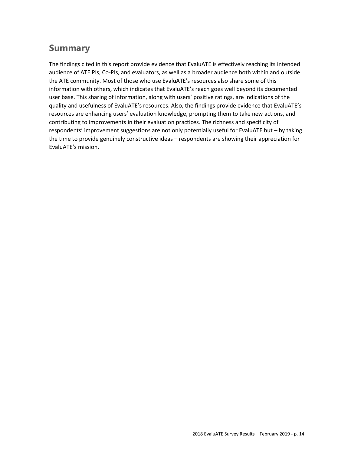## <span id="page-13-0"></span>**Summary**

The findings cited in this report provide evidence that EvaluATE is effectively reaching its intended audience of ATE PIs, Co‐PIs, and evaluators, as well as a broader audience both within and outside the ATE community. Most of those who use EvaluATE's resources also share some of this information with others, which indicates that EvaluATE's reach goes well beyond its documented user base. This sharing of information, along with users' positive ratings, are indications of the quality and usefulness of EvaluATE's resources. Also, the findings provide evidence that EvaluATE's resources are enhancing users' evaluation knowledge, prompting them to take new actions, and contributing to improvements in their evaluation practices. The richness and specificity of respondents' improvement suggestions are not only potentially useful for EvaluATE but – by taking the time to provide genuinely constructive ideas – respondents are showing their appreciation for EvaluATE's mission.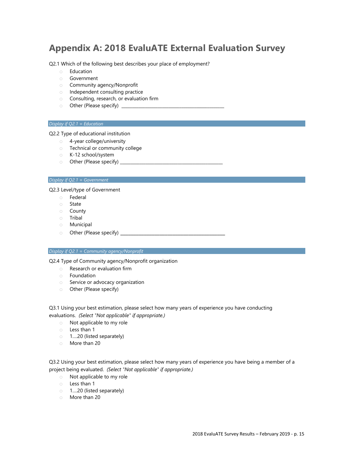## <span id="page-14-0"></span>**Appendix A: 2018 EvaluATE External Evaluation Survey**

Q2.1 Which of the following best describes your place of employment?

- o Education
- o Government
- o Community agency/Nonprofit
- o Independent consulting practice
- o Consulting, research, or evaluation firm
- o Other (Please specify) \_\_\_\_\_\_\_\_\_\_\_\_\_\_\_\_\_\_\_\_\_\_\_\_\_\_\_\_\_\_\_\_\_\_\_\_\_\_\_\_\_\_\_\_\_\_\_\_

#### *Display if Q2.1 = Education*

Q2.2 Type of educational institution

- o 4-year college/university
- o Technical or community college
- o K-12 school/system
- $\circ$  Other (Please specify)  $\_\_$

#### *Display if Q2.1 = Government*

Q2.3 Level/type of Government

- o Federal
- o State
- o County
- o Tribal
- o Municipal
- o Other (Please specify) \_\_\_\_\_\_\_\_\_\_\_\_\_\_\_\_\_\_\_\_\_\_\_\_\_\_\_\_\_\_\_\_\_\_\_\_\_\_\_\_

#### *Display if Q2.1 = Community agency/Nonprofit*

Q2.4 Type of Community agency/Nonprofit organization

- o Research or evaluation firm
- o Foundation
- o Service or advocacy organization
- o Other (Please specify)

Q3.1 Using your best estimation, please select how many years of experience you have conducting evaluations. *(Select "Not applicable" if appropriate.)*

- o Not applicable to my role
- o Less than 1
- o 1….20 (listed separately)
- o More than 20

Q3.2 Using your best estimation, please select how many years of experience you have being a member of a project being evaluated. *(Select "Not applicable" if appropriate.)*

- o Not applicable to my role
- o Less than 1
- o 1….20 (listed separately)
- o More than 20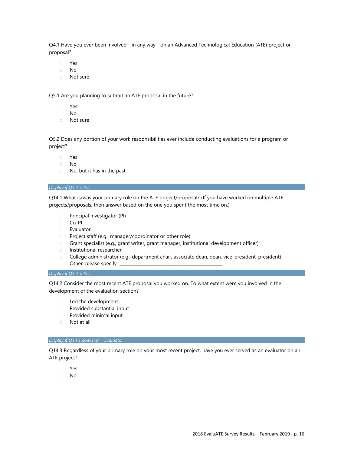Q4.1 Have you ever been involved - in any way - on an Advanced Technological Education (ATE) project or proposal?

- o Yes
- o No
- o Not sure

Q5.1 Are you planning to submit an ATE proposal in the future?

- o Yes
- o No
- o Not sure

Q5.2 Does any portion of your work responsibilities ever include conducting evaluations for a program or project?

- o Yes
- o No
- o No, but it has in the past

#### *Display if Q5.2 = Yes*

Q14.1 What is/was your primary role on the ATE project/proposal? (If you have worked on multiple ATE projects/proposals, then answer based on the one you spent the most time on.)

- o Principal investigator (PI)
- o Co-PI
- o Evaluator
- o Project staff (e.g., manager/coordinator or other role)
- o Grant specialist (e.g., grant writer, grant manager, institutional development officer)
- o Institutional researcher
- o College administrator (e.g., department chair, associate dean, dean, vice-president, president)
- $\circ$  Other, please specify  $\overline{\phantom{a}}$

#### *Display if Q5.2 = Yes*

Q14.2 Consider the most recent ATE proposal you worked on. To what extent were you involved in the development of the evaluation section?

- o Led the development
- o Provided substantial input
- o Provided minimal input
- o Not at all

#### *Display if Q14.1 does not = Evaluator*

Q14.3 Regardless of your primary role on your most recent project, have you ever served as an evaluator on an ATE project?

- o Yes
- o No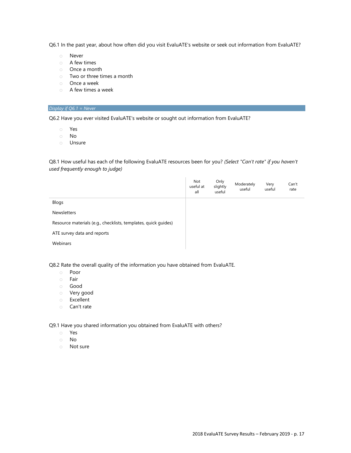Q6.1 In the past year, about how often did you visit EvaluATE's website or seek out information from EvaluATE?

- o Never
- o A few times
- o Once a month
- o Two or three times a month
- o Once a week
- o A few times a week

#### *Display if Q6.1 = Never*

Q6.2 Have you ever visited EvaluATE's website or sought out information from EvaluATE?

- o Yes
- o No
- o Unsure

Q8.1 How useful has each of the following EvaluATE resources been for you? *(Select "Can't rate" if you haven't used frequently enough to judge)*

| Not<br>useful at<br>all | useful                     | Very<br>useful | Can't<br>rate |
|-------------------------|----------------------------|----------------|---------------|
|                         |                            |                |               |
|                         |                            |                |               |
|                         |                            |                |               |
|                         |                            |                |               |
|                         |                            |                |               |
|                         | Only<br>slightly<br>useful | Moderately     |               |

Q8.2 Rate the overall quality of the information you have obtained from EvaluATE.

- o Poor
- o Fair
- o Good
- o Very good
- o Excellent
- o Can't rate

Q9.1 Have you shared information you obtained from EvaluATE with others?

- o Yes
- o No
- o Not sure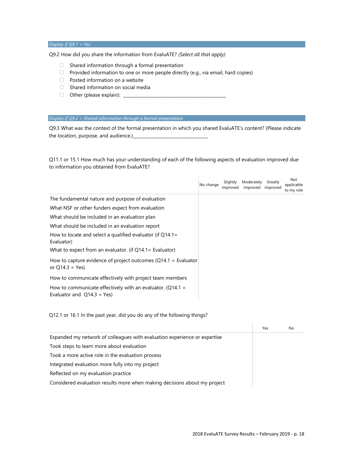*Display if Q9.1 = Yes*

Q9.2 How did you share the information from EvaluATE? *(Select all that apply)*

- ▢ Shared information through a formal presentation
- ▢ Provided information to one or more people directly (e.g., via email, hard copies)
- ▢ Posted information on a website
- ▢ Shared information on social media
- ▢ Other (please explain): \_\_\_\_\_\_\_\_\_\_\_\_\_\_\_\_\_\_\_\_\_\_\_\_\_\_\_\_\_\_\_\_\_\_\_\_\_\_\_\_\_\_\_\_\_\_\_\_

#### *Display if Q9.2 = Shared information through a formal presentation*

Q9.3 What was the context of the formal presentation in which you shared EvaluATE's content? (Please indicate the location, purpose, and audience.)

Q11.1 or 15.1 How much has your understanding of each of the following aspects of evaluation improved due to information you obtained from EvaluATE?

 $\overline{1}$ 

|                                                                                                | No change | Slightly<br>improved | Moderately<br>improved | Greatly<br>improved | Not<br>applicable<br>to my role |
|------------------------------------------------------------------------------------------------|-----------|----------------------|------------------------|---------------------|---------------------------------|
| The fundamental nature and purpose of evaluation                                               |           |                      |                        |                     |                                 |
| What NSF or other funders expect from evaluation                                               |           |                      |                        |                     |                                 |
| What should be included in an evaluation plan                                                  |           |                      |                        |                     |                                 |
| What should be included in an evaluation report                                                |           |                      |                        |                     |                                 |
| How to locate and select a qualified evaluator (if $Q14.1=$<br>Evaluator)                      |           |                      |                        |                     |                                 |
| What to expect from an evaluator. (if $Q14.1$ = Evaluator)                                     |           |                      |                        |                     |                                 |
| How to capture evidence of project outcomes ( $Q14.1$ = Evaluator<br>or $Q14.3 = Yes$          |           |                      |                        |                     |                                 |
| How to communicate effectively with project team members                                       |           |                      |                        |                     |                                 |
| How to communicate effectively with an evaluator. ( $Q14.1 =$<br>Evaluator and $Q14.3 = Yes$ ) |           |                      |                        |                     |                                 |

Q12.1 or 16.1 In the past year, did you do any of the following things?

|                                                                           | Yes | No |
|---------------------------------------------------------------------------|-----|----|
| Expanded my network of colleagues with evaluation experience or expertise |     |    |
| Took steps to learn more about evaluation                                 |     |    |
| Took a more active role in the evaluation process                         |     |    |
| Integrated evaluation more fully into my project                          |     |    |
| Reflected on my evaluation practice                                       |     |    |
| Considered evaluation results more when making decisions about my project |     |    |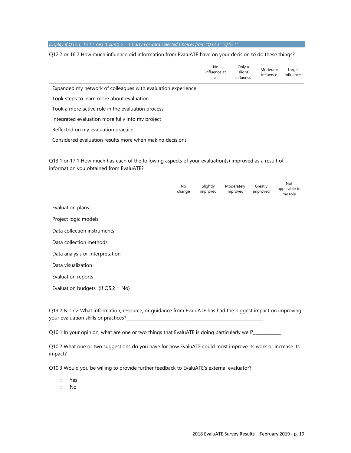#### *Display if Q12.1, 16.1 [ Yes] (Count) >= 1 Carry Forward Selected Choices from "Q12.1" "Q16.1"*

#### Q12.2 or 16.2 How much influence did information from EvaluATE have on your decision to do these things?

|                                                              | No<br>influence at<br>all | Only a<br>slight<br>influence | Moderate<br>influence | Large<br>influence |
|--------------------------------------------------------------|---------------------------|-------------------------------|-----------------------|--------------------|
| Expanded my network of colleagues with evaluation experience |                           |                               |                       |                    |
| Took steps to learn more about evaluation                    |                           |                               |                       |                    |
| Took a more active role in the evaluation process            |                           |                               |                       |                    |
| Integrated evaluation more fully into my project             |                           |                               |                       |                    |
| Reflected on my evaluation practice                          |                           |                               |                       |                    |
| Considered evaluation results more when making decisions     |                           |                               |                       |                    |

Q13.1 or 17.1 How much has each of the following aspects of your evaluation(s) improved as a result of information you obtained from EvaluATE?

 $\mathbf{I}$ 

|                                      | No<br>change | Slightly<br>improved | Moderately<br>improved | Greatly<br>improved | Not<br>applicable to<br>my role |
|--------------------------------------|--------------|----------------------|------------------------|---------------------|---------------------------------|
| Evaluation plans                     |              |                      |                        |                     |                                 |
| Project logic models                 |              |                      |                        |                     |                                 |
| Data collection instruments          |              |                      |                        |                     |                                 |
| Data collection methods              |              |                      |                        |                     |                                 |
| Data analysis or interpretation      |              |                      |                        |                     |                                 |
| Data visualization                   |              |                      |                        |                     |                                 |
| Evaluation reports                   |              |                      |                        |                     |                                 |
| Evaluation budgets (If $Q5.2 = No$ ) |              |                      |                        |                     |                                 |

Q13.2 & 17.2 What information, resource, or guidance from EvaluATE has had the biggest impact on improving your evaluation skills or practices?\_\_\_

Q10.1 In your opinion, what are one or two things that EvaluATE is doing particularly well?\_\_\_

Q10.2 What one or two suggestions do you have for how EvaluATE could most improve its work or increase its impact?

Q10.3 Would you be willing to provide further feedback to EvaluATE's external evaluator?

o Yes

o No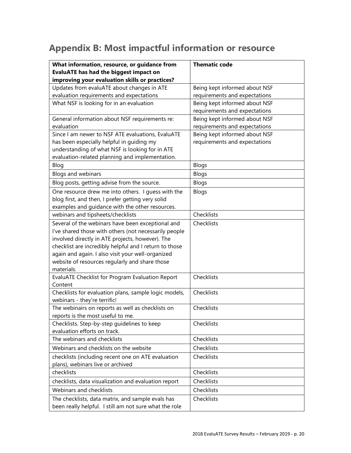## <span id="page-19-0"></span>**Appendix B: Most impactful information or resource**

| What information, resource, or guidance from                                                 | <b>Thematic code</b>          |
|----------------------------------------------------------------------------------------------|-------------------------------|
| <b>EvaluATE has had the biggest impact on</b>                                                |                               |
| improving your evaluation skills or practices?                                               |                               |
| Updates from evaluATE about changes in ATE                                                   | Being kept informed about NSF |
| evaluation requirements and expectations                                                     | requirements and expectations |
| What NSF is looking for in an evaluation                                                     | Being kept informed about NSF |
|                                                                                              | requirements and expectations |
| General information about NSF requirements re:                                               | Being kept informed about NSF |
| evaluation                                                                                   | requirements and expectations |
| Since I am newer to NSF ATE evaluations, EvaluATE                                            | Being kept informed about NSF |
| has been especially helpful in guiding my<br>understanding of what NSF is looking for in ATE | requirements and expectations |
| evaluation-related planning and implementation.                                              |                               |
| Blog                                                                                         | <b>Blogs</b>                  |
| Blogs and webinars                                                                           | <b>Blogs</b>                  |
| Blog posts, getting advise from the source.                                                  | <b>Blogs</b>                  |
| One resource drew me into others. I guess with the                                           | Blogs                         |
| blog first, and then, I prefer getting very solid                                            |                               |
| examples and guidance with the other resources.                                              |                               |
| webinars and tipsheets/checklists                                                            | Checklists                    |
| Several of the webinars have been exceptional and                                            | Checklists                    |
| I've shared those with others (not necessarily people                                        |                               |
| involved directly in ATE projects, however). The                                             |                               |
| checklist are incredibly helpful and I return to those                                       |                               |
| again and again. I also visit your well-organized                                            |                               |
| website of resources regularly and share those                                               |                               |
| materials.                                                                                   |                               |
| EvaluATE Checklist for Program Evaluation Report                                             | Checklists                    |
| Content                                                                                      |                               |
| Checklists for evaluation plans, sample logic models,                                        | Checklists                    |
| webinars - they're terrific!                                                                 |                               |
| The webinairs on reports as well as checklists on                                            | Checklists                    |
| reports is the most useful to me.                                                            |                               |
| Checklists. Step-by-step guidelines to keep                                                  | Checklists                    |
| evaluation efforts on track.                                                                 |                               |
| The webinars and checklists                                                                  | Checklists                    |
| Webinars and checklists on the website                                                       | Checklists                    |
| checklists (including recent one on ATE evaluation                                           | Checklists                    |
| plans), webinars live or archived                                                            |                               |
| checklists                                                                                   | Checklists                    |
| checklists, data visualization and evaluation report                                         | Checklists                    |
| Webinars and checklists                                                                      | Checklists                    |
| The checklists, data matrix, and sample evals has                                            | Checklists                    |
| been really helpful. I still am not sure what the role                                       |                               |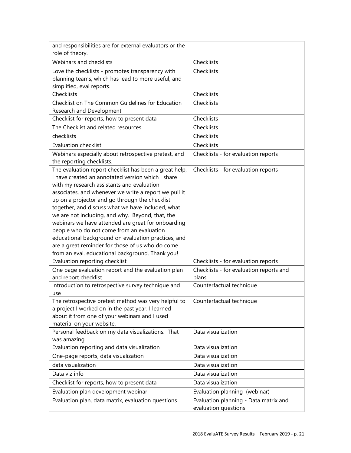| and responsibilities are for external evaluators or the<br>role of theory.                       |                                         |
|--------------------------------------------------------------------------------------------------|-----------------------------------------|
| Webinars and checklists                                                                          | Checklists                              |
| Love the checklists - promotes transparency with                                                 | Checklists                              |
| planning teams, which has lead to more useful, and                                               |                                         |
| simplified, eval reports.                                                                        |                                         |
| Checklists                                                                                       | Checklists                              |
| Checklist on The Common Guidelines for Education                                                 | Checklists                              |
| Research and Development                                                                         |                                         |
| Checklist for reports, how to present data                                                       | Checklists                              |
| The Checklist and related resources                                                              | Checklists                              |
| checklists                                                                                       | Checklists                              |
| <b>Evaluation checklist</b>                                                                      | Checklists                              |
| Webinars especially about retrospective pretest, and                                             | Checklists - for evaluation reports     |
| the reporting checklists.                                                                        |                                         |
| The evaluation report checklist has been a great help,                                           | Checklists - for evaluation reports     |
| I have created an annotated version which I share                                                |                                         |
| with my research assistants and evaluation                                                       |                                         |
| associates, and whenever we write a report we pull it                                            |                                         |
| up on a projector and go through the checklist                                                   |                                         |
| together, and discuss what we have included, what                                                |                                         |
| we are not including, and why. Beyond, that, the                                                 |                                         |
| webinars we have attended are great for onboarding                                               |                                         |
| people who do not come from an evaluation<br>educational background on evaluation practices, and |                                         |
| are a great reminder for those of us who do come                                                 |                                         |
| from an eval. educational background. Thank you!                                                 |                                         |
| Evaluation reporting checklist                                                                   | Checklists - for evaluation reports     |
| One page evaluation report and the evaluation plan                                               | Checklists - for evaluation reports and |
| and report checklist                                                                             | plans                                   |
| introduction to retrospective survey technique and                                               | Counterfactual technique                |
| use                                                                                              |                                         |
| The retrospective pretest method was very helpful to                                             | Counterfactual technique                |
| a project I worked on in the past year. I learned                                                |                                         |
| about it from one of your webinars and I used                                                    |                                         |
| material on your website.                                                                        |                                         |
| Personal feedback on my data visualizations. That                                                | Data visualization                      |
| was amazing.                                                                                     |                                         |
| Evaluation reporting and data visualization                                                      | Data visualization                      |
| One-page reports, data visualization                                                             | Data visualization                      |
| data visualization                                                                               | Data visualization                      |
| Data viz info                                                                                    | Data visualization                      |
| Checklist for reports, how to present data                                                       | Data visualization                      |
| Evaluation plan development webinar                                                              | Evaluation planning (webinar)           |
| Evaluation plan, data matrix, evaluation questions                                               | Evaluation planning - Data matrix and   |
|                                                                                                  | evaluation questions                    |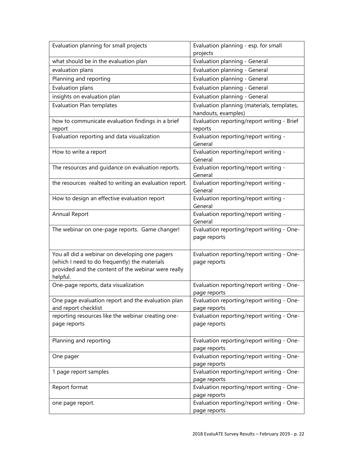| Evaluation planning for small projects                                                                                                                             | Evaluation planning - esp. for small<br>projects                  |
|--------------------------------------------------------------------------------------------------------------------------------------------------------------------|-------------------------------------------------------------------|
| what should be in the evaluation plan                                                                                                                              | Evaluation planning - General                                     |
| evaluation plans                                                                                                                                                   | Evaluation planning - General                                     |
| Planning and reporting                                                                                                                                             | Evaluation planning - General                                     |
| Evaluation plans                                                                                                                                                   | Evaluation planning - General                                     |
| insights on evaluation plan                                                                                                                                        | Evaluation planning - General                                     |
| <b>Evaluation Plan templates</b>                                                                                                                                   | Evaluation planning (materials, templates,<br>handouts, examples) |
| how to communicate evaluation findings in a brief<br>report                                                                                                        | Evaluation reporting/report writing - Brief<br>reports            |
| Evaluation reporting and data visualization                                                                                                                        | Evaluation reporting/report writing -<br>General                  |
| How to write a report                                                                                                                                              | Evaluation reporting/report writing -<br>General                  |
| The resources and guidance on evaluation reports.                                                                                                                  | Evaluation reporting/report writing -<br>General                  |
| the resources realted to writing an evaluation report.                                                                                                             | Evaluation reporting/report writing -<br>General                  |
| How to design an effective evaluation report                                                                                                                       | Evaluation reporting/report writing -<br>General                  |
| Annual Report                                                                                                                                                      | Evaluation reporting/report writing -<br>General                  |
| The webinar on one-page reports. Game changer!                                                                                                                     | Evaluation reporting/report writing - One-<br>page reports        |
| You all did a webinar on developing one pagers<br>(which I need to do frequently) the materials<br>provided and the content of the webinar were really<br>helpful. | Evaluation reporting/report writing - One-<br>page reports        |
| One-page reports, data visualization                                                                                                                               | Evaluation reporting/report writing - One-<br>page reports        |
| One page evaluation report and the evaluation plan<br>and report checklist                                                                                         | Evaluation reporting/report writing - One-<br>page reports        |
| reporting resources like the webinar creating one-<br>page reports                                                                                                 | Evaluation reporting/report writing - One-<br>page reports        |
| Planning and reporting                                                                                                                                             | Evaluation reporting/report writing - One-<br>page reports        |
| One pager                                                                                                                                                          | Evaluation reporting/report writing - One-<br>page reports        |
| 1 page report samples                                                                                                                                              | Evaluation reporting/report writing - One-<br>page reports        |
| Report format                                                                                                                                                      | Evaluation reporting/report writing - One-<br>page reports        |
| one page report.                                                                                                                                                   | Evaluation reporting/report writing - One-<br>page reports        |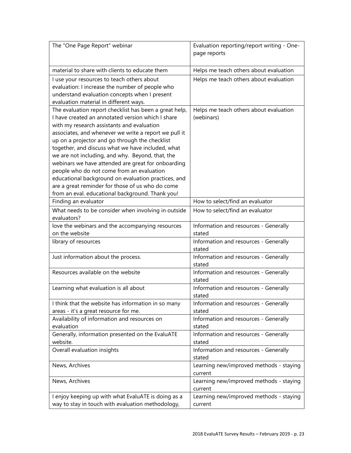| The "One Page Report" webinar                                                                                                                                                                                                                                                                                                                                                                                                                                                                                                                                                                                                                   | Evaluation reporting/report writing - One-<br>page reports |
|-------------------------------------------------------------------------------------------------------------------------------------------------------------------------------------------------------------------------------------------------------------------------------------------------------------------------------------------------------------------------------------------------------------------------------------------------------------------------------------------------------------------------------------------------------------------------------------------------------------------------------------------------|------------------------------------------------------------|
| material to share with clients to educate them                                                                                                                                                                                                                                                                                                                                                                                                                                                                                                                                                                                                  | Helps me teach others about evaluation                     |
| I use your resources to teach others about<br>evaluation: I increase the number of people who<br>understand evaluation concepts when I present<br>evaluation material in different ways.                                                                                                                                                                                                                                                                                                                                                                                                                                                        | Helps me teach others about evaluation                     |
| The evaluation report checklist has been a great help,<br>I have created an annotated version which I share<br>with my research assistants and evaluation<br>associates, and whenever we write a report we pull it<br>up on a projector and go through the checklist<br>together, and discuss what we have included, what<br>we are not including, and why. Beyond, that, the<br>webinars we have attended are great for onboarding<br>people who do not come from an evaluation<br>educational background on evaluation practices, and<br>are a great reminder for those of us who do come<br>from an eval. educational background. Thank you! | Helps me teach others about evaluation<br>(webinars)       |
| Finding an evaluator                                                                                                                                                                                                                                                                                                                                                                                                                                                                                                                                                                                                                            | How to select/find an evaluator                            |
| What needs to be consider when involving in outside<br>evaluators?                                                                                                                                                                                                                                                                                                                                                                                                                                                                                                                                                                              | How to select/find an evaluator                            |
| love the webinars and the accompanying resources<br>on the website                                                                                                                                                                                                                                                                                                                                                                                                                                                                                                                                                                              | Information and resources - Generally<br>stated            |
| library of resources                                                                                                                                                                                                                                                                                                                                                                                                                                                                                                                                                                                                                            | Information and resources - Generally<br>stated            |
| Just information about the process.                                                                                                                                                                                                                                                                                                                                                                                                                                                                                                                                                                                                             | Information and resources - Generally<br>stated            |
| Resources available on the website                                                                                                                                                                                                                                                                                                                                                                                                                                                                                                                                                                                                              | Information and resources - Generally<br>stated            |
| Learning what evaluation is all about                                                                                                                                                                                                                                                                                                                                                                                                                                                                                                                                                                                                           | Information and resources - Generally<br>stated            |
| I think that the website has information in so many<br>areas - it's a great resource for me.                                                                                                                                                                                                                                                                                                                                                                                                                                                                                                                                                    | Information and resources - Generally<br>stated            |
| Availability of information and resources on<br>evaluation                                                                                                                                                                                                                                                                                                                                                                                                                                                                                                                                                                                      | Information and resources - Generally<br>stated            |
| Generally, information presented on the EvaluATE<br>website.                                                                                                                                                                                                                                                                                                                                                                                                                                                                                                                                                                                    | Information and resources - Generally<br>stated            |
| Overall evaluation insights                                                                                                                                                                                                                                                                                                                                                                                                                                                                                                                                                                                                                     | Information and resources - Generally<br>stated            |
| News, Archives                                                                                                                                                                                                                                                                                                                                                                                                                                                                                                                                                                                                                                  | Learning new/improved methods - staying<br>current         |
| News, Archives                                                                                                                                                                                                                                                                                                                                                                                                                                                                                                                                                                                                                                  | Learning new/improved methods - staying<br>current         |
| I enjoy keeping up with what EvaluATE is doing as a<br>way to stay in touch with evaluation methodology,                                                                                                                                                                                                                                                                                                                                                                                                                                                                                                                                        | Learning new/improved methods - staying<br>current         |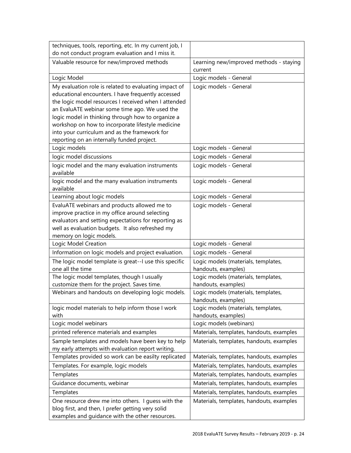| techniques, tools, reporting, etc. In my current job, I      |                                                    |
|--------------------------------------------------------------|----------------------------------------------------|
| do not conduct program evaluation and I miss it.             |                                                    |
| Valuable resource for new/improved methods                   | Learning new/improved methods - staying<br>current |
| Logic Model                                                  | Logic models - General                             |
| My evaluation role is related to evaluating impact of        | Logic models - General                             |
| educational encounters. I have frequently accessed           |                                                    |
| the logic model resources I received when I attended         |                                                    |
| an EvaluATE webinar some time ago. We used the               |                                                    |
| logic model in thinking through how to organize a            |                                                    |
| workshop on how to incorporate lifestyle medicine            |                                                    |
| into your curriculum and as the framework for                |                                                    |
| reporting on an internally funded project.                   |                                                    |
| Logic models                                                 | Logic models - General                             |
| logic model discussions                                      | Logic models - General                             |
| logic model and the many evaluation instruments<br>available | Logic models - General                             |
| logic model and the many evaluation instruments<br>available | Logic models - General                             |
| Learning about logic models                                  | Logic models - General                             |
| EvaluATE webinars and products allowed me to                 | Logic models - General                             |
| improve practice in my office around selecting               |                                                    |
| evaluators and setting expectations for reporting as         |                                                    |
| well as evaluation budgets. It also refreshed my             |                                                    |
| memory on logic models.                                      |                                                    |
| Logic Model Creation                                         | Logic models - General                             |
| Information on logic models and project evaluation.          | Logic models - General                             |
| The logic model template is great--I use this specific       | Logic models (materials, templates,                |
| one all the time                                             | handouts, examples)                                |
| The logic model templates, though I usually                  | Logic models (materials, templates,                |
| customize them for the project. Saves time.                  | handouts, examples)                                |
| Webinars and handouts on developing logic models.            | Logic models (materials, templates,                |
|                                                              | handouts, examples)                                |
| logic model materials to help inform those I work<br>with    | Logic models (materials, templates,                |
| Logic model webinars                                         | handouts, examples)<br>Logic models (webinars)     |
| printed reference materials and examples                     | Materials, templates, handouts, examples           |
| Sample templates and models have been key to help            | Materials, templates, handouts, examples           |
| my early attempts with evaluation report writing.            |                                                    |
| Templates provided so work can be easilty replicated         | Materials, templates, handouts, examples           |
| Templates. For example, logic models                         | Materials, templates, handouts, examples           |
| Templates                                                    | Materials, templates, handouts, examples           |
| Guidance documents, webinar                                  | Materials, templates, handouts, examples           |
| Templates                                                    | Materials, templates, handouts, examples           |
| One resource drew me into others. I guess with the           | Materials, templates, handouts, examples           |
| blog first, and then, I prefer getting very solid            |                                                    |
| examples and guidance with the other resources.              |                                                    |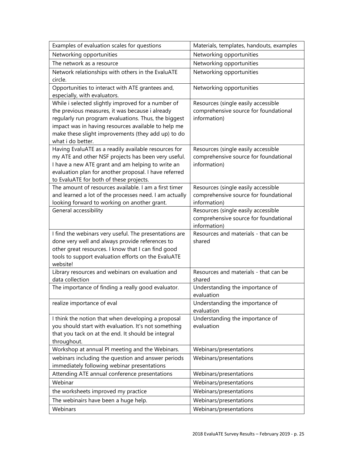| Examples of evaluation scales for questions                                                             | Materials, templates, handouts, examples              |
|---------------------------------------------------------------------------------------------------------|-------------------------------------------------------|
| Networking opportunities                                                                                | Networking opportunities                              |
| The network as a resource                                                                               | Networking opportunities                              |
| Network relationships with others in the EvaluATE                                                       | Networking opportunities                              |
| circle.                                                                                                 |                                                       |
| Opportunities to interact with ATE grantees and,                                                        | Networking opportunities                              |
| especially, with evaluators.                                                                            |                                                       |
| While i selected slightly improved for a number of                                                      | Resources (single easily accessible                   |
| the previous measures, it was because i already<br>regularly run program evaluations. Thus, the biggest | comprehensive source for foundational<br>information) |
| impact was in having resources available to help me                                                     |                                                       |
| make these slight improvements (they add up) to do                                                      |                                                       |
| what i do better.                                                                                       |                                                       |
| Having EvaluATE as a readily available resources for                                                    | Resources (single easily accessible                   |
| my ATE and other NSF projects has been very useful.                                                     | comprehensive source for foundational                 |
| I have a new ATE grant and am helping to write an                                                       | information)                                          |
| evaluation plan for another proposal. I have referred                                                   |                                                       |
| to EvaluATE for both of these projects.                                                                 |                                                       |
| The amount of resources available. I am a first timer                                                   | Resources (single easily accessible                   |
| and learned a lot of the processes need. I am actually<br>looking forward to working on another grant.  | comprehensive source for foundational<br>information) |
| General accessibility                                                                                   | Resources (single easily accessible                   |
|                                                                                                         | comprehensive source for foundational                 |
|                                                                                                         | information)                                          |
| I find the webinars very useful. The presentations are                                                  | Resources and materials - that can be                 |
| done very well and always provide references to                                                         | shared                                                |
| other great resources. I know that I can find good                                                      |                                                       |
| tools to support evaluation efforts on the EvaluATE                                                     |                                                       |
| website!                                                                                                | Resources and materials - that can be                 |
| Library resources and webinars on evaluation and<br>data collection                                     | shared                                                |
| The importance of finding a really good evaluator.                                                      | Understanding the importance of                       |
|                                                                                                         | evaluation                                            |
| realize importance of eval                                                                              | Understanding the importance of                       |
|                                                                                                         | evaluation                                            |
| I think the notion that when developing a proposal                                                      | Understanding the importance of                       |
| you should start with evaluation. It's not something                                                    | evaluation                                            |
| that you tack on at the end. It should be integral                                                      |                                                       |
| throughout.                                                                                             |                                                       |
| Workshop at annual PI meeting and the Webinars.                                                         | Webinars/presentations                                |
| webinars including the question and answer periods                                                      | Webinars/presentations                                |
| immediately following webinar presentations                                                             |                                                       |
| Attending ATE annual conference presentations<br>Webinar                                                | Webinars/presentations                                |
|                                                                                                         | Webinars/presentations                                |
| the worksheets improved my practice                                                                     | Webinars/presentations                                |
| The webinairs have been a huge help.                                                                    | Webinars/presentations                                |
| Webinars                                                                                                | Webinars/presentations                                |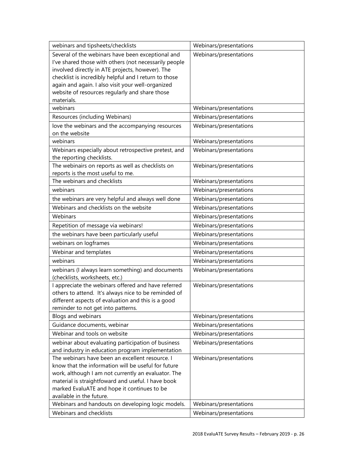| webinars and tipsheets/checklists                     | Webinars/presentations |
|-------------------------------------------------------|------------------------|
| Several of the webinars have been exceptional and     | Webinars/presentations |
| I've shared those with others (not necessarily people |                        |
| involved directly in ATE projects, however). The      |                        |
| checklist is incredibly helpful and I return to those |                        |
| again and again. I also visit your well-organized     |                        |
| website of resources regularly and share those        |                        |
| materials.                                            |                        |
| webinars                                              | Webinars/presentations |
| Resources (including Webinars)                        | Webinars/presentations |
| love the webinars and the accompanying resources      | Webinars/presentations |
| on the website                                        |                        |
| webinars                                              | Webinars/presentations |
| Webinars especially about retrospective pretest, and  | Webinars/presentations |
| the reporting checklists.                             |                        |
| The webinairs on reports as well as checklists on     | Webinars/presentations |
| reports is the most useful to me.                     |                        |
| The webinars and checklists                           | Webinars/presentations |
| webinars                                              | Webinars/presentations |
| the webinars are very helpful and always well done    | Webinars/presentations |
| Webinars and checklists on the website                | Webinars/presentations |
| Webinars                                              | Webinars/presentations |
| Repetition of message via webinars!                   | Webinars/presentations |
| the webinars have been particularly useful            | Webinars/presentations |
| webinars on logframes                                 | Webinars/presentations |
| Webinar and templates                                 | Webinars/presentations |
| webinars                                              | Webinars/presentations |
| webinars (I always learn something) and documents     | Webinars/presentations |
| (checklists, worksheets, etc.)                        |                        |
| I appreciate the webinars offered and have referred   | Webinars/presentations |
| others to attend. It's always nice to be reminded of  |                        |
| different aspects of evaluation and this is a good    |                        |
| reminder to not get into patterns.                    |                        |
| Blogs and webinars                                    | Webinars/presentations |
| Guidance documents, webinar                           | Webinars/presentations |
| Webinar and tools on website                          | Webinars/presentations |
| webinar about evaluating participation of business    | Webinars/presentations |
| and industry in education program implementation      |                        |
| The webinars have been an excellent resource. I       | Webinars/presentations |
| know that the information will be useful for future   |                        |
| work, although I am not currently an evaluator. The   |                        |
| material is straightfoward and useful. I have book    |                        |
| marked EvaluATE and hope it continues to be           |                        |
| available in the future.                              |                        |
| Webinars and handouts on developing logic models.     | Webinars/presentations |
| Webinars and checklists                               | Webinars/presentations |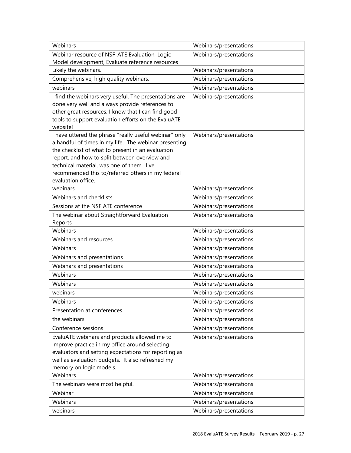| Webinars                                                                                                  | Webinars/presentations                           |
|-----------------------------------------------------------------------------------------------------------|--------------------------------------------------|
| Webinar resource of NSF-ATE Evaluation, Logic                                                             | Webinars/presentations                           |
| Model development, Evaluate reference resources                                                           |                                                  |
| Likely the webinars.                                                                                      | Webinars/presentations                           |
| Comprehensive, high quality webinars.                                                                     | Webinars/presentations                           |
| webinars                                                                                                  | Webinars/presentations                           |
| I find the webinars very useful. The presentations are                                                    | Webinars/presentations                           |
| done very well and always provide references to                                                           |                                                  |
| other great resources. I know that I can find good<br>tools to support evaluation efforts on the EvaluATE |                                                  |
| website!                                                                                                  |                                                  |
| I have uttered the phrase "really useful webinar" only                                                    | Webinars/presentations                           |
| a handful of times in my life. The webinar presenting                                                     |                                                  |
| the checklist of what to present in an evaluation                                                         |                                                  |
| report, and how to split between overview and                                                             |                                                  |
| technical material, was one of them. I've                                                                 |                                                  |
| recommended this to/referred others in my federal                                                         |                                                  |
| evaluation office.<br>webinars                                                                            |                                                  |
| Webinars and checklists                                                                                   | Webinars/presentations<br>Webinars/presentations |
|                                                                                                           |                                                  |
| Sessions at the NSF ATE conference                                                                        | Webinars/presentations                           |
| The webinar about Straightforward Evaluation<br>Reports                                                   | Webinars/presentations                           |
| Webinars                                                                                                  | Webinars/presentations                           |
| Webinars and resources                                                                                    | Webinars/presentations                           |
| Webinars                                                                                                  | Webinars/presentations                           |
| Webinars and presentations                                                                                | Webinars/presentations                           |
| Webinars and presentations                                                                                | Webinars/presentations                           |
| Webinars                                                                                                  | Webinars/presentations                           |
| Webinars                                                                                                  | Webinars/presentations                           |
| webinars                                                                                                  | Webinars/presentations                           |
| Webinars                                                                                                  | Webinars/presentations                           |
| Presentation at conferences                                                                               | Webinars/presentations                           |
| the webinars                                                                                              | Webinars/presentations                           |
| Conference sessions                                                                                       | Webinars/presentations                           |
| EvaluATE webinars and products allowed me to                                                              | Webinars/presentations                           |
| improve practice in my office around selecting                                                            |                                                  |
| evaluators and setting expectations for reporting as                                                      |                                                  |
| well as evaluation budgets. It also refreshed my                                                          |                                                  |
| memory on logic models.                                                                                   |                                                  |
| Webinars                                                                                                  | Webinars/presentations                           |
| The webinars were most helpful.                                                                           | Webinars/presentations                           |
| Webinar                                                                                                   | Webinars/presentations                           |
| Webinars                                                                                                  | Webinars/presentations                           |
| webinars                                                                                                  | Webinars/presentations                           |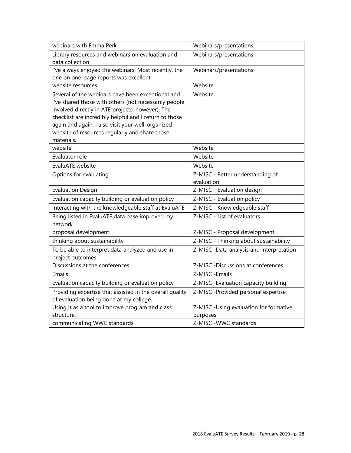| webinars with Emma Perk                                  | Webinars/presentations                   |
|----------------------------------------------------------|------------------------------------------|
| Library resources and webinars on evaluation and         | Webinars/presentations                   |
| data collection                                          |                                          |
| I've always enjoyed the webinars. Most recently, the     | Webinars/presentations                   |
| one on one-page reports was excellent.                   |                                          |
| website resources                                        | Website                                  |
| Several of the webinars have been exceptional and        | Website                                  |
| I've shared those with others (not necessarily people    |                                          |
| involved directly in ATE projects, however). The         |                                          |
| checklist are incredibly helpful and I return to those   |                                          |
| again and again. I also visit your well-organized        |                                          |
| website of resources regularly and share those           |                                          |
| materials.                                               |                                          |
| website                                                  | Website                                  |
| Evaluator role                                           | Website                                  |
| EvaluATE website                                         | Website                                  |
| Options for evaluating                                   | Z-MISC - Better understanding of         |
|                                                          | evaluation                               |
| <b>Evaluation Design</b>                                 | Z-MISC - Evaluation design               |
| Evaluation capacity building or evaluation policy        | Z-MISC - Evaluation policy               |
| Interacting with the knowledgeable staff at EvaluATE     | Z-MISC - Knowledgeable staff             |
| Being listed in EvaluATE data base improved my           | Z-MISC - List of evaluators              |
| network                                                  |                                          |
| proposal development                                     | Z-MISC - Proposal development            |
| thinking about sustainability                            | Z-MISC - Thinking about sustainability   |
| To be able to interpret data analyzed and use in         | Z-MISC -Data analysis and interpretation |
| project outcomes                                         |                                          |
| Discussions at the conferences                           | Z-MISC -Discussions at conferences       |
| Emails                                                   | Z-MISC - Emails                          |
| Evaluation capacity building or evaluation policy        | Z-MISC - Evaluation capacity building    |
| Providing expertise that assisted in the overall quality | Z-MISC -Provided personal expertise      |
| of evaluation being done at my college.                  |                                          |
| Using it as a tool to improve program and class          | Z-MISC -Using evaluation for formative   |
| structure.                                               | purposes                                 |
| communicating WWC standards                              | Z-MISC-WWC standards                     |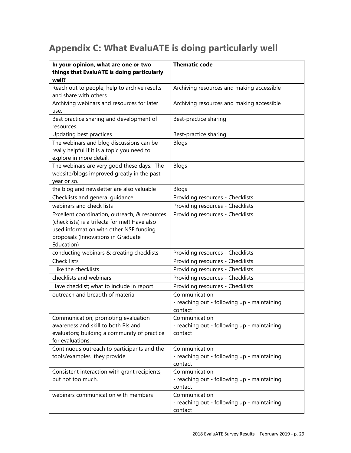## <span id="page-28-0"></span>**Appendix C: What EvaluATE is doing particularly well**

| In your opinion, what are one or two<br>things that EvaluATE is doing particularly<br>well?                                                                                                   | <b>Thematic code</b>                                                    |
|-----------------------------------------------------------------------------------------------------------------------------------------------------------------------------------------------|-------------------------------------------------------------------------|
| Reach out to people, help to archive results<br>and share with others                                                                                                                         | Archiving resources and making accessible                               |
| Archiving webinars and resources for later<br>use.                                                                                                                                            | Archiving resources and making accessible                               |
| Best practice sharing and development of<br>resources.                                                                                                                                        | Best-practice sharing                                                   |
| Updating best practices                                                                                                                                                                       | Best-practice sharing                                                   |
| The webinars and blog discussions can be<br>really helpful if it is a topic you need to<br>explore in more detail.                                                                            | Blogs                                                                   |
| The webinars are very good these days. The<br>website/blogs improved greatly in the past<br>year or so.                                                                                       | Blogs                                                                   |
| the blog and newsletter are also valuable                                                                                                                                                     | Blogs                                                                   |
| Checklists and general guidance                                                                                                                                                               | Providing resources - Checklists                                        |
| webinars and check lists                                                                                                                                                                      | Providing resources - Checklists                                        |
| Excellent coordination, outreach, & resources<br>(checklists) is a trifecta for me!! Have also<br>used information with other NSF funding<br>proposals (Innovations in Graduate<br>Education) | Providing resources - Checklists                                        |
| conducting webinars & creating checklists                                                                                                                                                     | Providing resources - Checklists                                        |
| <b>Check lists</b>                                                                                                                                                                            | Providing resources - Checklists                                        |
| I like the checklists                                                                                                                                                                         | Providing resources - Checklists                                        |
| checklists and webinars                                                                                                                                                                       | Providing resources - Checklists                                        |
| Have checklist; what to include in report                                                                                                                                                     | Providing resources - Checklists                                        |
| outreach and breadth of material                                                                                                                                                              | Communication<br>- reaching out - following up - maintaining<br>contact |
| Communication; promoting evaluation<br>awareness and skill to both PIs and<br>evaluators; building a community of practice<br>for evaluations.                                                | Communication<br>- reaching out - following up - maintaining<br>contact |
| Continuous outreach to participants and the<br>tools/examples they provide                                                                                                                    | Communication<br>- reaching out - following up - maintaining<br>contact |
| Consistent interaction with grant recipients,<br>but not too much.                                                                                                                            | Communication<br>- reaching out - following up - maintaining<br>contact |
| webinars communication with members                                                                                                                                                           | Communication<br>- reaching out - following up - maintaining<br>contact |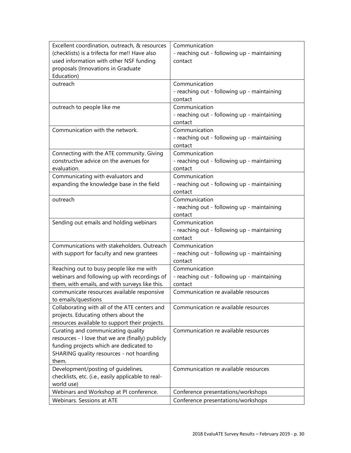| Excellent coordination, outreach, & resources      | Communication                                          |
|----------------------------------------------------|--------------------------------------------------------|
| (checklists) is a trifecta for me!! Have also      | - reaching out - following up - maintaining            |
| used information with other NSF funding            | contact                                                |
| proposals (Innovations in Graduate                 |                                                        |
| Education)                                         |                                                        |
| outreach                                           | Communication                                          |
|                                                    | - reaching out - following up - maintaining            |
|                                                    | contact                                                |
| outreach to people like me                         | Communication                                          |
|                                                    | - reaching out - following up - maintaining            |
|                                                    | contact                                                |
| Communication with the network.                    | Communication                                          |
|                                                    | - reaching out - following up - maintaining            |
|                                                    | contact                                                |
| Connecting with the ATE community. Giving          | Communication                                          |
| constructive advice on the avenues for             | - reaching out - following up - maintaining            |
| evaluation.                                        | contact                                                |
| Communicating with evaluators and                  | Communication                                          |
| expanding the knowledge base in the field          | - reaching out - following up - maintaining            |
|                                                    | contact                                                |
| outreach                                           | Communication                                          |
|                                                    | - reaching out - following up - maintaining            |
|                                                    | contact                                                |
| Sending out emails and holding webinars            | Communication                                          |
|                                                    | - reaching out - following up - maintaining            |
|                                                    | contact                                                |
| Communications with stakeholders. Outreach         | Communication                                          |
|                                                    |                                                        |
| with support for faculty and new grantees          | - reaching out - following up - maintaining<br>contact |
| Reaching out to busy people like me with           | Communication                                          |
| webinars and following up with recordings of       |                                                        |
|                                                    | - reaching out - following up - maintaining<br>contact |
| them, with emails, and with surveys like this.     | Communication re available resources                   |
| communicate resources available responsive         |                                                        |
| to emails/questions                                |                                                        |
| Collaborating with all of the ATE centers and      | Communication re available resources                   |
| projects. Educating others about the               |                                                        |
| resources available to support their projects.     |                                                        |
| Curating and communicating quality                 | Communication re available resources                   |
| resources - I love that we are (finally) publicly  |                                                        |
| funding projects which are dedicated to            |                                                        |
| SHARING quality resources - not hoarding           |                                                        |
| them.                                              |                                                        |
| Development/posting of guidelines,                 | Communication re available resources                   |
| checklists, etc. (i.e., easily applicable to real- |                                                        |
| world use)                                         |                                                        |
| Webinars and Workshop at PI conference.            | Conference presentations/workshops                     |
| Webinars. Sessions at ATE                          | Conference presentations/workshops                     |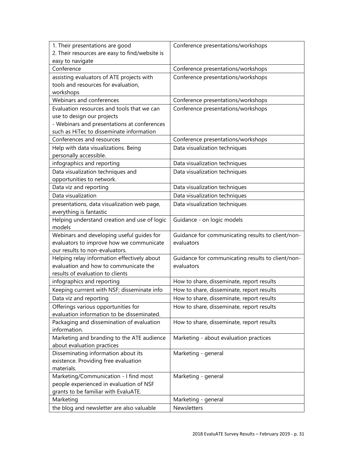| 1. Their presentations are good                | Conference presentations/workshops                |
|------------------------------------------------|---------------------------------------------------|
| 2. Their resources are easy to find/website is |                                                   |
| easy to navigate                               |                                                   |
| Conference                                     | Conference presentations/workshops                |
| assisting evaluators of ATE projects with      | Conference presentations/workshops                |
| tools and resources for evaluation,            |                                                   |
| workshops                                      |                                                   |
| Webinars and conferences                       | Conference presentations/workshops                |
| Evaluation resources and tools that we can     | Conference presentations/workshops                |
| use to design our projects                     |                                                   |
| - Webinars and presentations at conferences    |                                                   |
| such as HiTec to disseminate information       |                                                   |
| Conferences and resources                      | Conference presentations/workshops                |
| Help with data visualizations. Being           | Data visualization techniques                     |
| personally accessible.                         |                                                   |
| infographics and reporting                     | Data visualization techniques                     |
| Data visualization techniques and              | Data visualization techniques                     |
| opportunities to network.                      |                                                   |
| Data viz and reporting                         | Data visualization techniques                     |
| Data visualization                             | Data visualization techniques                     |
| presentations, data visualization web page,    | Data visualization techniques                     |
| everything is fantastic                        |                                                   |
| Helping understand creation and use of logic   | Guidance - on logic models                        |
| models                                         |                                                   |
| Webinars and developing useful guides for      | Guidance for communicating results to client/non- |
| evaluators to improve how we communicate       | evaluators                                        |
| our results to non-evaluators.                 |                                                   |
| Helping relay information effectively about    | Guidance for communicating results to client/non- |
| evaluation and how to communicate the          | evaluators                                        |
| results of evaluation to clients               |                                                   |
| infographics and reporting                     | How to share, disseminate, report results         |
| Keeping currrent with NSF; disseminate info    | How to share, disseminate, report results         |
| Data viz and reporting                         | How to share, disseminate, report results         |
| Offerings various opportunities for            | How to share, disseminate, report results         |
| evaluation information to be disseminated.     |                                                   |
| Packaging and dissemination of evaluation      | How to share, disseminate, report results         |
| information.                                   |                                                   |
| Marketing and branding to the ATE audience     | Marketing - about evaluation practices            |
| about evaluation practices                     |                                                   |
| Disseminating information about its            | Marketing - general                               |
| existence. Providing free evaluation           |                                                   |
| materials.                                     |                                                   |
| Marketing/Communication - I find most          | Marketing - general                               |
| people experienced in evaluation of NSF        |                                                   |
| grants to be familiar with EvaluATE.           |                                                   |
| Marketing                                      | Marketing - general                               |
| the blog and newsletter are also valuable      | Newsletters                                       |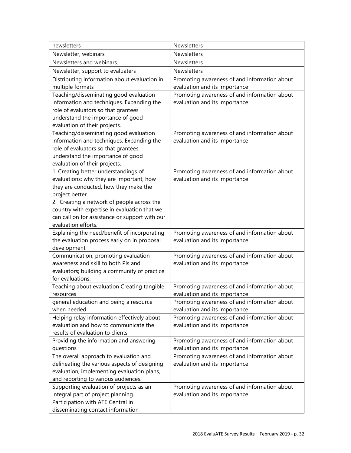| newsletters                                                                | Newsletters                                                                   |
|----------------------------------------------------------------------------|-------------------------------------------------------------------------------|
| Newsletter, webinars                                                       | Newsletters                                                                   |
| Newsletters and webinars.                                                  | Newsletters                                                                   |
| Newsletter, support to evaluaters                                          | Newsletters                                                                   |
| Distributing information about evaluation in                               | Promoting awareness of and information about                                  |
| multiple formats                                                           | evaluation and its importance                                                 |
| Teaching/disseminating good evaluation                                     | Promoting awareness of and information about                                  |
| information and techniques. Expanding the                                  | evaluation and its importance                                                 |
| role of evaluators so that grantees                                        |                                                                               |
| understand the importance of good                                          |                                                                               |
| evaluation of their projects.                                              |                                                                               |
| Teaching/disseminating good evaluation                                     | Promoting awareness of and information about                                  |
| information and techniques. Expanding the                                  | evaluation and its importance                                                 |
| role of evaluators so that grantees                                        |                                                                               |
| understand the importance of good                                          |                                                                               |
| evaluation of their projects.                                              |                                                                               |
| 1. Creating better understandings of                                       | Promoting awareness of and information about                                  |
| evaluations: why they are important, how                                   | evaluation and its importance                                                 |
| they are conducted, how they make the                                      |                                                                               |
| project better.                                                            |                                                                               |
| 2. Creating a network of people across the                                 |                                                                               |
| country with expertise in evaluation that we                               |                                                                               |
| can call on for assistance or support with our                             |                                                                               |
| evaluation efforts.                                                        |                                                                               |
| Explaining the need/benefit of incorporating                               | Promoting awareness of and information about                                  |
| the evaluation process early on in proposal                                | evaluation and its importance                                                 |
| development                                                                |                                                                               |
| Communication; promoting evaluation<br>awareness and skill to both PIs and | Promoting awareness of and information about<br>evaluation and its importance |
| evaluators; building a community of practice                               |                                                                               |
| for evaluations.                                                           |                                                                               |
| Teaching about evaluation Creating tangible                                | Promoting awareness of and information about                                  |
| resources                                                                  | evaluation and its importance                                                 |
| general education and being a resource                                     | Promoting awareness of and information about                                  |
| when needed                                                                | evaluation and its importance                                                 |
| Helping relay information effectively about                                | Promoting awareness of and information about                                  |
| evaluation and how to communicate the                                      | evaluation and its importance                                                 |
| results of evaluation to clients                                           |                                                                               |
| Providing the information and answering                                    | Promoting awareness of and information about                                  |
| questions                                                                  | evaluation and its importance                                                 |
| The overall approach to evaluation and                                     | Promoting awareness of and information about                                  |
| delineating the various aspects of designing                               | evaluation and its importance                                                 |
| evaluation, implementing evaluation plans,                                 |                                                                               |
| and reporting to various audiences.                                        |                                                                               |
| Supporting evaluation of projects as an                                    | Promoting awareness of and information about                                  |
| integral part of project planning.                                         | evaluation and its importance                                                 |
| Participation with ATE Central in                                          |                                                                               |
| disseminating contact information                                          |                                                                               |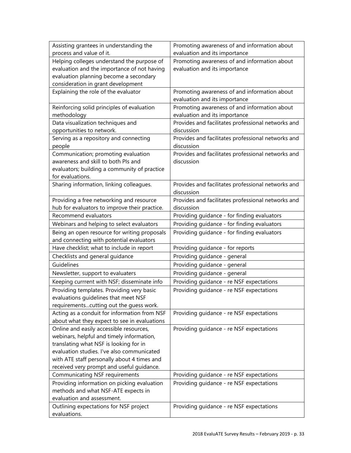| Assisting grantees in understanding the       | Promoting awareness of and information about                     |
|-----------------------------------------------|------------------------------------------------------------------|
| process and value of it.                      | evaluation and its importance                                    |
| Helping colleges understand the purpose of    | Promoting awareness of and information about                     |
| evaluation and the importance of not having   | evaluation and its importance                                    |
| evaluation planning become a secondary        |                                                                  |
| consideration in grant development            |                                                                  |
| Explaining the role of the evaluator          | Promoting awareness of and information about                     |
|                                               | evaluation and its importance                                    |
| Reinforcing solid principles of evaluation    | Promoting awareness of and information about                     |
| methodology                                   | evaluation and its importance                                    |
| Data visualization techniques and             | Provides and facilitates professional networks and               |
| opportunities to network.                     | discussion                                                       |
| Serving as a repository and connecting        | Provides and facilitates professional networks and               |
| people                                        | discussion                                                       |
| Communication; promoting evaluation           | Provides and facilitates professional networks and               |
| awareness and skill to both Pls and           | discussion                                                       |
| evaluators; building a community of practice  |                                                                  |
| for evaluations.                              |                                                                  |
| Sharing information, linking colleagues.      | Provides and facilitates professional networks and               |
|                                               | discussion                                                       |
| Providing a free networking and resource      | Provides and facilitates professional networks and<br>discussion |
| hub for evaluators to improve their practice. |                                                                  |
| Recommend evaluators                          | Providing guidance - for finding evaluators                      |
| Webinars and helping to select evaluators     | Providing guidance - for finding evaluators                      |
| Being an open resource for writing proposals  | Providing guidance - for finding evaluators                      |
| and connecting with potential evaluators      |                                                                  |
| Have checklist; what to include in report     | Providing guidance - for reports                                 |
| Checklists and general guidance               | Providing guidance - general                                     |
| Guidelines                                    | Providing guidance - general                                     |
| Newsletter, support to evaluaters             | Providing guidance - general                                     |
| Keeping currrent with NSF; disseminate info   | Providing guidance - re NSF expectations                         |
| Providing templates. Providing very basic     | Providing guidance - re NSF expectations                         |
| evaluations guidelines that meet NSF          |                                                                  |
| requirementscutting out the guess work.       |                                                                  |
| Acting as a conduit for information from NSF  | Providing guidance - re NSF expectations                         |
| about what they expect to see in evaluations  |                                                                  |
| Online and easily accessible resources,       | Providing guidance - re NSF expectations                         |
| webinars, helpful and timely information,     |                                                                  |
| translating what NSF is looking for in        |                                                                  |
| evaluation studies. I've also communicated    |                                                                  |
| with ATE staff personally about 4 times and   |                                                                  |
| received very prompt and useful guidance.     |                                                                  |
| <b>Communicating NSF requirements</b>         | Providing guidance - re NSF expectations                         |
| Providing information on picking evaluation   | Providing guidance - re NSF expectations                         |
| methods and what NSF-ATE expects in           |                                                                  |
| evaluation and assessment.                    |                                                                  |
| Outlining expectations for NSF project        | Providing guidance - re NSF expectations                         |
| evaluations.                                  |                                                                  |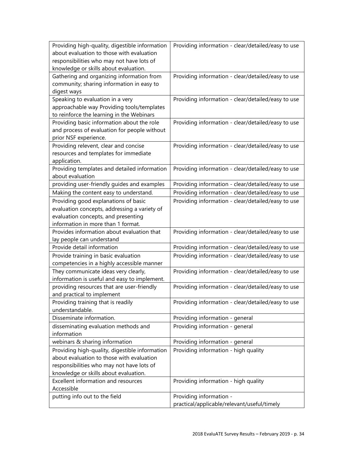| Providing high-quality, digestible information<br>about evaluation to those with evaluation<br>responsibilities who may not have lots of | Providing information - clear/detailed/easy to use |
|------------------------------------------------------------------------------------------------------------------------------------------|----------------------------------------------------|
| knowledge or skills about evaluation.                                                                                                    |                                                    |
| Gathering and organizing information from                                                                                                | Providing information - clear/detailed/easy to use |
| community; sharing information in easy to                                                                                                |                                                    |
| digest ways                                                                                                                              |                                                    |
| Speaking to evaluation in a very                                                                                                         | Providing information - clear/detailed/easy to use |
| approachable way Providing tools/templates                                                                                               |                                                    |
| to reinforce the learning in the Webinars                                                                                                |                                                    |
| Providing basic information about the role                                                                                               | Providing information - clear/detailed/easy to use |
| and process of evaluation for people without                                                                                             |                                                    |
| prior NSF experience.                                                                                                                    |                                                    |
| Providing relevent, clear and concise                                                                                                    | Providing information - clear/detailed/easy to use |
| resources and templates for immediate                                                                                                    |                                                    |
| application.                                                                                                                             |                                                    |
| Providing templates and detailed information                                                                                             | Providing information - clear/detailed/easy to use |
| about evaluation                                                                                                                         |                                                    |
| providing user-friendly guides and examples                                                                                              | Providing information - clear/detailed/easy to use |
| Making the content easy to understand.                                                                                                   | Providing information - clear/detailed/easy to use |
| Providing good explanations of basic                                                                                                     | Providing information - clear/detailed/easy to use |
| evaluation concepts, addressing a variety of                                                                                             |                                                    |
| evaluation concepts, and presenting                                                                                                      |                                                    |
| information in more than 1 format.                                                                                                       |                                                    |
| Provides information about evaluation that                                                                                               | Providing information - clear/detailed/easy to use |
| lay people can understand                                                                                                                |                                                    |
| Provide detail information                                                                                                               | Providing information - clear/detailed/easy to use |
| Provide training in basic evaluation                                                                                                     | Providing information - clear/detailed/easy to use |
| competencies in a highly accessible manner                                                                                               |                                                    |
| They communicate ideas very clearly,                                                                                                     | Providing information - clear/detailed/easy to use |
| information is useful and easy to implement.                                                                                             |                                                    |
| providing resources that are user-friendly                                                                                               | Providing information - clear/detailed/easy to use |
| and practical to implement                                                                                                               |                                                    |
| Providing training that is readily                                                                                                       | Providing information - clear/detailed/easy to use |
| understandable.                                                                                                                          |                                                    |
| Disseminate information.                                                                                                                 | Providing information - general                    |
| disseminating evaluation methods and                                                                                                     | Providing information - general                    |
| information                                                                                                                              |                                                    |
| webinars & sharing information                                                                                                           | Providing information - general                    |
| Providing high-quality, digestible information                                                                                           | Providing information - high quality               |
| about evaluation to those with evaluation                                                                                                |                                                    |
| responsibilities who may not have lots of                                                                                                |                                                    |
| knowledge or skills about evaluation.                                                                                                    |                                                    |
| Excellent information and resources                                                                                                      | Providing information - high quality               |
| Accessible                                                                                                                               |                                                    |
| putting info out to the field                                                                                                            | Providing information -                            |
|                                                                                                                                          | practical/applicable/relevant/useful/timely        |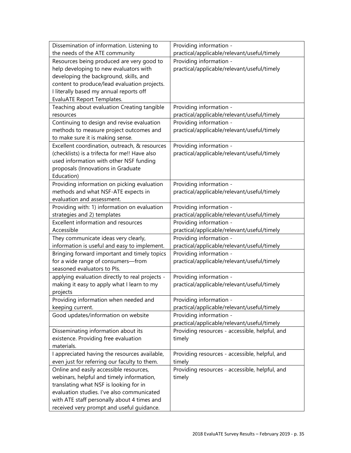| Dissemination of information. Listening to                                                    | Providing information -                                  |
|-----------------------------------------------------------------------------------------------|----------------------------------------------------------|
| the needs of the ATE community                                                                | practical/applicable/relevant/useful/timely              |
| Resources being produced are very good to                                                     | Providing information -                                  |
| help developing to new evaluators with                                                        | practical/applicable/relevant/useful/timely              |
| developing the background, skills, and                                                        |                                                          |
| content to produce/lead evaluation projects.                                                  |                                                          |
| I literally based my annual reports off                                                       |                                                          |
| <b>EvaluATE Report Templates.</b>                                                             |                                                          |
| Teaching about evaluation Creating tangible                                                   | Providing information -                                  |
| resources                                                                                     | practical/applicable/relevant/useful/timely              |
| Continuing to design and revise evaluation                                                    | Providing information -                                  |
| methods to measure project outcomes and                                                       | practical/applicable/relevant/useful/timely              |
| to make sure it is making sense.                                                              |                                                          |
| Excellent coordination, outreach, & resources                                                 | Providing information -                                  |
| (checklists) is a trifecta for me!! Have also                                                 | practical/applicable/relevant/useful/timely              |
| used information with other NSF funding                                                       |                                                          |
| proposals (Innovations in Graduate                                                            |                                                          |
| Education)                                                                                    |                                                          |
| Providing information on picking evaluation                                                   | Providing information -                                  |
| methods and what NSF-ATE expects in                                                           | practical/applicable/relevant/useful/timely              |
| evaluation and assessment.                                                                    |                                                          |
| Providing with: 1) information on evaluation                                                  | Providing information -                                  |
| strategies and 2) templates                                                                   | practical/applicable/relevant/useful/timely              |
| Excellent information and resources                                                           | Providing information -                                  |
| Accessible                                                                                    | practical/applicable/relevant/useful/timely              |
| They communicate ideas very clearly,                                                          | Providing information -                                  |
| information is useful and easy to implement.                                                  | practical/applicable/relevant/useful/timely              |
| Bringing forward important and timely topics                                                  | Providing information -                                  |
| for a wide range of consumers-from                                                            | practical/applicable/relevant/useful/timely              |
| seasoned evaluators to Pls.                                                                   |                                                          |
| applying evaluation directly to real projects -                                               | Providing information -                                  |
| making it easy to apply what I learn to my                                                    | practical/applicable/relevant/useful/timely              |
| projects                                                                                      |                                                          |
| Providing information when needed and                                                         | Providing information -                                  |
| keeping current.                                                                              | practical/applicable/relevant/useful/timely              |
| Good updates/information on website                                                           | Providing information -                                  |
|                                                                                               | practical/applicable/relevant/useful/timely              |
| Disseminating information about its                                                           | Providing resources - accessible, helpful, and           |
| existence. Providing free evaluation<br>materials.                                            | timely                                                   |
|                                                                                               |                                                          |
| I appreciated having the resources available,<br>even just for referring our faculty to them. | Providing resources - accessible, helpful, and<br>timely |
|                                                                                               |                                                          |
| Online and easily accessible resources,                                                       | Providing resources - accessible, helpful, and           |
| webinars, helpful and timely information,<br>translating what NSF is looking for in           | timely                                                   |
| evaluation studies. I've also communicated                                                    |                                                          |
| with ATE staff personally about 4 times and                                                   |                                                          |
| received very prompt and useful guidance.                                                     |                                                          |
|                                                                                               |                                                          |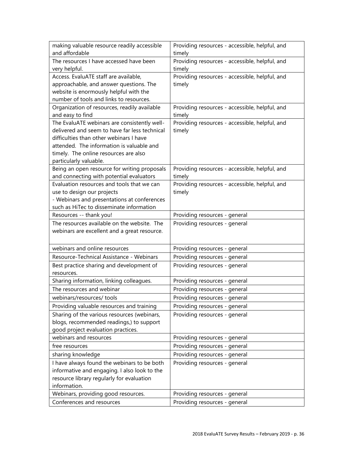| making valuable resource readily accessible   | Providing resources - accessible, helpful, and |
|-----------------------------------------------|------------------------------------------------|
| and affordable                                | timely                                         |
| The resources I have accessed have been       | Providing resources - accessible, helpful, and |
| very helpful.                                 | timely                                         |
| Access. EvaluATE staff are available,         | Providing resources - accessible, helpful, and |
| approachable, and answer questions. The       | timely                                         |
| website is enormously helpful with the        |                                                |
| number of tools and links to resources.       |                                                |
| Organization of resources, readily available  | Providing resources - accessible, helpful, and |
| and easy to find                              | timely                                         |
| The EvaluATE webinars are consistently well-  | Providing resources - accessible, helpful, and |
| delivered and seem to have far less technical | timely                                         |
| difficulties than other webinars I have       |                                                |
| attended. The information is valuable and     |                                                |
| timely. The online resources are also         |                                                |
| particularly valuable.                        |                                                |
| Being an open resource for writing proposals  | Providing resources - accessible, helpful, and |
| and connecting with potential evaluators      | timely                                         |
| Evaluation resources and tools that we can    | Providing resources - accessible, helpful, and |
| use to design our projects                    | timely                                         |
| - Webinars and presentations at conferences   |                                                |
| such as HiTec to disseminate information      |                                                |
| Resources -- thank you!                       | Providing resources - general                  |
| The resources available on the website. The   | Providing resources - general                  |
| webinars are excellent and a great resource.  |                                                |
|                                               |                                                |
| webinars and online resources                 | Providing resources - general                  |
| Resource-Technical Assistance - Webinars      | Providing resources - general                  |
| Best practice sharing and development of      | Providing resources - general                  |
| resources.                                    |                                                |
| Sharing information, linking colleagues.      | Providing resources - general                  |
| The resources and webinar                     | Providing resources - general                  |
| webinars/resources/ tools                     | Providing resources - general                  |
| Providing valuable resources and training     | Providing resources - general                  |
| Sharing of the various resources (webinars,   | Providing resources - general                  |
| blogs, recommended readings,) to support      |                                                |
| good project evaluation practices.            |                                                |
| webinars and resources                        | Providing resources - general                  |
| free resources                                | Providing resources - general                  |
| sharing knowledge                             | Providing resources - general                  |
| I have always found the webinars to be both   | Providing resources - general                  |
| informative and engaging. I also look to the  |                                                |
| resource library regularly for evaluation     |                                                |
| information.                                  |                                                |
| Webinars, providing good resources.           | Providing resources - general                  |
| Conferences and resources                     | Providing resources - general                  |
|                                               |                                                |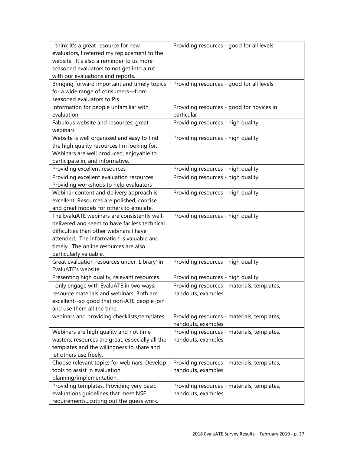| I think it's a great resource for new            | Providing resources - good for all levels   |
|--------------------------------------------------|---------------------------------------------|
| evaluators, I referred my replacement to the     |                                             |
| website. It's also a reminder to us more         |                                             |
| seasoned evaluators to not get into a rut        |                                             |
| with our evaluations and reports.                |                                             |
| Bringing forward important and timely topics     | Providing resources - good for all levels   |
| for a wide range of consumers-from               |                                             |
| seasoned evaluators to Pls.                      |                                             |
| Information for people unfamiliar with           | Providing resources - good for novices in   |
| evaluation                                       | particular                                  |
| Fabulous website and resources, great            | Providing resources - high quality          |
| webinars                                         |                                             |
| Website is well organized and easy to find       | Providing resources - high quality          |
| the high quality resources I'm looking for.      |                                             |
| Webinars are well produced, enjoyable to         |                                             |
| participate in, and informative.                 |                                             |
| Providing excellent resources                    | Providing resources - high quality          |
| Providing excellent evaluation resources.        | Providing resources - high quality          |
| Providing workshops to help evaluators           |                                             |
| Webinar content and delivery approach is         | Providing resources - high quality          |
| excellent. Resources are polished, concise       |                                             |
| and great models for others to emulate.          |                                             |
| The EvaluATE webinars are consistently well-     | Providing resources - high quality          |
| delivered and seem to have far less technical    |                                             |
| difficulties than other webinars I have          |                                             |
| attended. The information is valuable and        |                                             |
| timely. The online resources are also            |                                             |
| particularly valuable.                           |                                             |
| Great evaluation resources under 'Library' in    | Providing resources - high quality          |
| EvaluATE's website                               |                                             |
| Presenting high quality, relevant resources      | Providing resources - high quality          |
| I only engage with EvaluATE in two ways:         | Providing resources - materials, templates, |
| resource materials and webinars. Both are        | handouts, examples                          |
| excellent--so good that non-ATE people join      |                                             |
| and use them all the time.                       |                                             |
| webinars and providing checklists/templates      | Providing resources - materials, templates, |
|                                                  | handouts, examples                          |
| Webinars are high quality and not time           | Providing resources - materials, templates, |
| wasters; resources are great, especially all the | handouts, examples                          |
| templates and the willingness to share and       |                                             |
| let others use freely.                           |                                             |
| Choose relevant topics for webinars. Develop     | Providing resources - materials, templates, |
| tools to assist in evaluation                    | handouts, examples                          |
| planning/implementation.                         |                                             |
| Providing templates. Providing very basic        | Providing resources - materials, templates, |
| evaluations guidelines that meet NSF             | handouts, examples                          |
| requirementscutting out the guess work.          |                                             |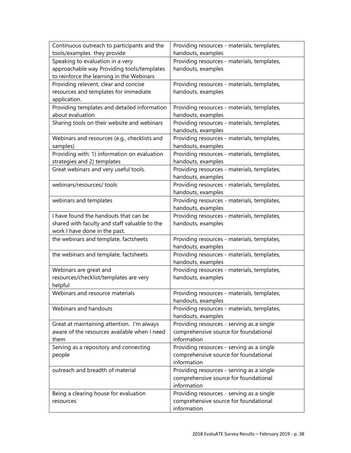| Continuous outreach to participants and the   | Providing resources - materials, templates, |
|-----------------------------------------------|---------------------------------------------|
| tools/examples they provide                   | handouts, examples                          |
| Speaking to evaluation in a very              | Providing resources - materials, templates, |
| approachable way Providing tools/templates    | handouts, examples                          |
| to reinforce the learning in the Webinars     |                                             |
| Providing relevent, clear and concise         | Providing resources - materials, templates, |
| resources and templates for immediate         | handouts, examples                          |
| application.                                  |                                             |
| Providing templates and detailed information  | Providing resources - materials, templates, |
| about evaluation                              | handouts, examples                          |
| Sharing tools on their website and webinars   | Providing resources - materials, templates, |
|                                               | handouts, examples                          |
| Webinars and resources (e.g., checklists and  | Providing resources - materials, templates, |
| samples)                                      | handouts, examples                          |
| Providing with: 1) information on evaluation  | Providing resources - materials, templates, |
| strategies and 2) templates                   | handouts, examples                          |
| Great webinars and very useful tools.         | Providing resources - materials, templates, |
|                                               | handouts, examples                          |
| webinars/resources/ tools                     | Providing resources - materials, templates, |
|                                               | handouts, examples                          |
| webinars and templates                        | Providing resources - materials, templates, |
|                                               | handouts, examples                          |
| I have found the handouts that can be         | Providing resources - materials, templates, |
| shared with faculty and staff valuable to the | handouts, examples                          |
| work I have done in the past.                 |                                             |
| the webinars and template, factsheets         | Providing resources - materials, templates, |
|                                               | handouts, examples                          |
| the webinars and template, factsheets         | Providing resources - materials, templates, |
|                                               | handouts, examples                          |
| Webinars are great and                        | Providing resources - materials, templates, |
| resources/checklist/templates are very        | handouts, examples                          |
| helpful                                       |                                             |
| Webinars and resource materials               | Providing resources - materials, templates, |
|                                               | handouts, examples                          |
| Webinars and handouts                         | Providing resources - materials, templates, |
|                                               | handouts, examples                          |
| Great at maintaining attention. I'm always    | Providing resources - serving as a single   |
| aware of the resources available when I need  | comprehensive source for foundational       |
| them                                          | information                                 |
| Serving as a repository and connecting        | Providing resources - serving as a single   |
| people                                        | comprehensive source for foundational       |
|                                               | information                                 |
| outreach and breadth of material              | Providing resources - serving as a single   |
|                                               | comprehensive source for foundational       |
|                                               | information                                 |
| Being a clearing house for evaluation         | Providing resources - serving as a single   |
| resources                                     | comprehensive source for foundational       |
|                                               | information                                 |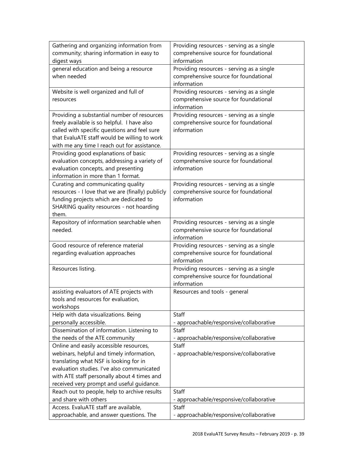| Gathering and organizing information from                                                    | Providing resources - serving as a single            |
|----------------------------------------------------------------------------------------------|------------------------------------------------------|
| community; sharing information in easy to                                                    | comprehensive source for foundational                |
| digest ways                                                                                  | information                                          |
| general education and being a resource                                                       | Providing resources - serving as a single            |
| when needed                                                                                  | comprehensive source for foundational                |
|                                                                                              | information                                          |
| Website is well organized and full of                                                        | Providing resources - serving as a single            |
| resources                                                                                    | comprehensive source for foundational                |
|                                                                                              | information                                          |
| Providing a substantial number of resources                                                  | Providing resources - serving as a single            |
| freely available is so helpful. I have also                                                  | comprehensive source for foundational                |
| called with specific questions and feel sure                                                 | information                                          |
| that EvaluATE staff would be willing to work<br>with me any time I reach out for assistance. |                                                      |
| Providing good explanations of basic                                                         | Providing resources - serving as a single            |
| evaluation concepts, addressing a variety of                                                 | comprehensive source for foundational                |
| evaluation concepts, and presenting                                                          | information                                          |
| information in more than 1 format.                                                           |                                                      |
| Curating and communicating quality                                                           | Providing resources - serving as a single            |
| resources - I love that we are (finally) publicly                                            | comprehensive source for foundational                |
| funding projects which are dedicated to                                                      | information                                          |
| SHARING quality resources - not hoarding                                                     |                                                      |
| them.                                                                                        |                                                      |
| Repository of information searchable when                                                    | Providing resources - serving as a single            |
| needed.                                                                                      | comprehensive source for foundational                |
|                                                                                              | information                                          |
| Good resource of reference material                                                          | Providing resources - serving as a single            |
| regarding evaluation approaches                                                              | comprehensive source for foundational                |
|                                                                                              | information                                          |
| Resources listing.                                                                           | Providing resources - serving as a single            |
|                                                                                              | comprehensive source for foundational<br>information |
| assisting evaluators of ATE projects with                                                    | Resources and tools - general                        |
| tools and resources for evaluation,                                                          |                                                      |
| workshops                                                                                    |                                                      |
| Help with data visualizations. Being                                                         | Staff                                                |
| personally accessible.                                                                       | - approachable/responsive/collaborative              |
| Dissemination of information. Listening to                                                   | Staff                                                |
| the needs of the ATE community                                                               | - approachable/responsive/collaborative              |
| Online and easily accessible resources,                                                      | Staff                                                |
| webinars, helpful and timely information,                                                    | - approachable/responsive/collaborative              |
| translating what NSF is looking for in                                                       |                                                      |
| evaluation studies. I've also communicated                                                   |                                                      |
| with ATE staff personally about 4 times and                                                  |                                                      |
| received very prompt and useful guidance.                                                    |                                                      |
| Reach out to people, help to archive results                                                 | Staff                                                |
| and share with others                                                                        | - approachable/responsive/collaborative              |
| Access. EvaluATE staff are available,                                                        | Staff                                                |
| approachable, and answer questions. The                                                      | - approachable/responsive/collaborative              |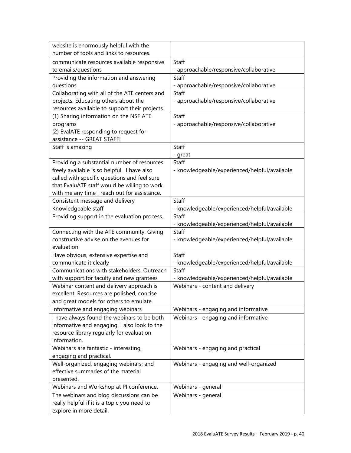| website is enormously helpful with the         |                                               |
|------------------------------------------------|-----------------------------------------------|
| number of tools and links to resources.        |                                               |
| communicate resources available responsive     | Staff                                         |
| to emails/questions                            | - approachable/responsive/collaborative       |
| Providing the information and answering        | Staff                                         |
| questions                                      | - approachable/responsive/collaborative       |
| Collaborating with all of the ATE centers and  | Staff                                         |
| projects. Educating others about the           | - approachable/responsive/collaborative       |
| resources available to support their projects. |                                               |
| (1) Sharing information on the NSF ATE         | Staff                                         |
| programs                                       | - approachable/responsive/collaborative       |
| (2) EvalATE responding to request for          |                                               |
| assistance -- GREAT STAFF!                     | Staff                                         |
| Staff is amazing                               |                                               |
| Providing a substantial number of resources    | - great<br>Staff                              |
| freely available is so helpful. I have also    | - knowledgeable/experienced/helpful/available |
| called with specific questions and feel sure   |                                               |
| that EvaluATE staff would be willing to work   |                                               |
| with me any time I reach out for assistance.   |                                               |
| Consistent message and delivery                | Staff                                         |
| Knowledgeable staff                            | - knowledgeable/experienced/helpful/available |
| Providing support in the evaluation process.   | Staff                                         |
|                                                | - knowledgeable/experienced/helpful/available |
| Connecting with the ATE community. Giving      | Staff                                         |
| constructive advise on the avenues for         | - knowledgeable/experienced/helpful/available |
| evaluation.                                    |                                               |
| Have obvious, extensive expertise and          | Staff                                         |
| communicate it clearly                         | - knowledgeable/experienced/helpful/available |
| Communications with stakeholders. Outreach     | Staff                                         |
| with support for faculty and new grantees      | - knowledgeable/experienced/helpful/available |
| Webinar content and delivery approach is       | Webinars - content and delivery               |
| excellent. Resources are polished, concise     |                                               |
| and great models for others to emulate.        |                                               |
| Informative and engaging webinars              | Webinars - engaging and informative           |
| I have always found the webinars to be both    | Webinars - engaging and informative           |
| informative and engaging. I also look to the   |                                               |
| resource library regularly for evaluation      |                                               |
| information.                                   |                                               |
| Webinars are fantastic - interesting,          | Webinars - engaging and practical             |
| engaging and practical.                        |                                               |
| Well-organized, engaging webinars; and         | Webinars - engaging and well-organized        |
| effective summaries of the material            |                                               |
| presented.                                     |                                               |
| Webinars and Workshop at PI conference.        | Webinars - general                            |
| The webinars and blog discussions can be       | Webinars - general                            |
| really helpful if it is a topic you need to    |                                               |
| explore in more detail.                        |                                               |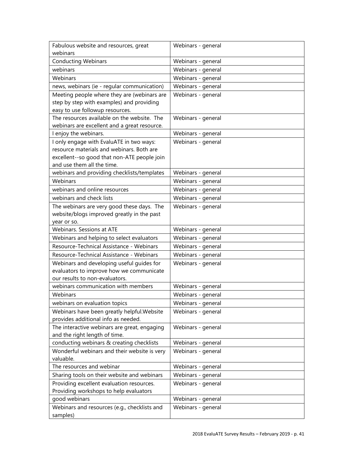| Fabulous website and resources, great                                     | Webinars - general |
|---------------------------------------------------------------------------|--------------------|
| webinars                                                                  |                    |
| <b>Conducting Webinars</b>                                                | Webinars - general |
| webinars                                                                  | Webinars - general |
| Webinars                                                                  | Webinars - general |
| news, webinars (ie - regular communication)                               | Webinars - general |
| Meeting people where they are (webinars are                               | Webinars - general |
| step by step with examples) and providing                                 |                    |
| easy to use followup resources.                                           |                    |
| The resources available on the website. The                               | Webinars - general |
| webinars are excellent and a great resource.                              |                    |
| I enjoy the webinars.                                                     | Webinars - general |
| I only engage with EvaluATE in two ways:                                  | Webinars - general |
| resource materials and webinars. Both are                                 |                    |
| excellent--so good that non-ATE people join<br>and use them all the time. |                    |
| webinars and providing checklists/templates                               | Webinars - general |
| Webinars                                                                  |                    |
| webinars and online resources                                             | Webinars - general |
|                                                                           | Webinars - general |
| webinars and check lists                                                  | Webinars - general |
| The webinars are very good these days. The                                | Webinars - general |
| website/blogs improved greatly in the past                                |                    |
| year or so.<br>Webinars. Sessions at ATE                                  | Webinars - general |
| Webinars and helping to select evaluators                                 | Webinars - general |
| Resource-Technical Assistance - Webinars                                  | Webinars - general |
| Resource-Technical Assistance - Webinars                                  | Webinars - general |
| Webinars and developing useful guides for                                 | Webinars - general |
| evaluators to improve how we communicate                                  |                    |
| our results to non-evaluators.                                            |                    |
| webinars communication with members                                       | Webinars - general |
| Webinars                                                                  | Webinars - general |
| webinars on evaluation topics                                             | Webinars - general |
| Webinars have been greatly helpful. Website                               | Webinars - general |
| provides additional info as needed.                                       |                    |
| The interactive webinars are great, engaging                              | Webinars - general |
| and the right length of time.                                             |                    |
| conducting webinars & creating checklists                                 | Webinars - general |
| Wonderful webinars and their website is very                              | Webinars - general |
| valuable.                                                                 |                    |
| The resources and webinar                                                 | Webinars - general |
| Sharing tools on their website and webinars                               | Webinars - general |
| Providing excellent evaluation resources.                                 | Webinars - general |
| Providing workshops to help evaluators                                    |                    |
| good webinars                                                             | Webinars - general |
| Webinars and resources (e.g., checklists and                              | Webinars - general |
| samples)                                                                  |                    |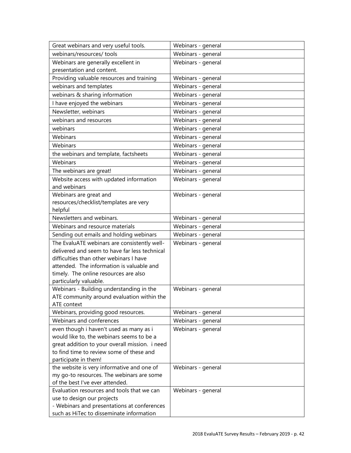| Great webinars and very useful tools.                                     | Webinars - general |
|---------------------------------------------------------------------------|--------------------|
| webinars/resources/ tools                                                 | Webinars - general |
| Webinars are generally excellent in                                       | Webinars - general |
| presentation and content.                                                 |                    |
| Providing valuable resources and training                                 | Webinars - general |
| webinars and templates                                                    | Webinars - general |
| webinars & sharing information                                            | Webinars - general |
| I have enjoyed the webinars                                               | Webinars - general |
| Newsletter, webinars                                                      | Webinars - general |
| webinars and resources                                                    | Webinars - general |
| webinars                                                                  | Webinars - general |
| Webinars                                                                  | Webinars - general |
| Webinars                                                                  | Webinars - general |
| the webinars and template, factsheets                                     | Webinars - general |
| Webinars                                                                  | Webinars - general |
| The webinars are great!                                                   | Webinars - general |
| Website access with updated information                                   | Webinars - general |
| and webinars                                                              |                    |
| Webinars are great and                                                    | Webinars - general |
| resources/checklist/templates are very                                    |                    |
| helpful                                                                   |                    |
| Newsletters and webinars.                                                 | Webinars - general |
| Webinars and resource materials                                           | Webinars - general |
| Sending out emails and holding webinars                                   | Webinars - general |
| The EvaluATE webinars are consistently well-                              | Webinars - general |
| delivered and seem to have far less technical                             |                    |
| difficulties than other webinars I have                                   |                    |
| attended. The information is valuable and                                 |                    |
| timely. The online resources are also                                     |                    |
| particularly valuable.                                                    |                    |
| Webinars - Building understanding in the                                  | Webinars - general |
| ATE community around evaluation within the                                |                    |
| ATE context                                                               |                    |
| Webinars, providing good resources.                                       | Webinars - general |
| Webinars and conferences                                                  | Webinars - general |
| even though i haven't used as many as i                                   | Webinars - general |
| would like to, the webinars seems to be a                                 |                    |
| great addition to your overall mission. i need                            |                    |
| to find time to review some of these and                                  |                    |
| participate in them!                                                      |                    |
| the website is very informative and one of                                | Webinars - general |
| my go-to resources. The webinars are some                                 |                    |
| of the best I've ever attended.                                           |                    |
| Evaluation resources and tools that we can                                | Webinars - general |
| use to design our projects<br>- Webinars and presentations at conferences |                    |
| such as HiTec to disseminate information                                  |                    |
|                                                                           |                    |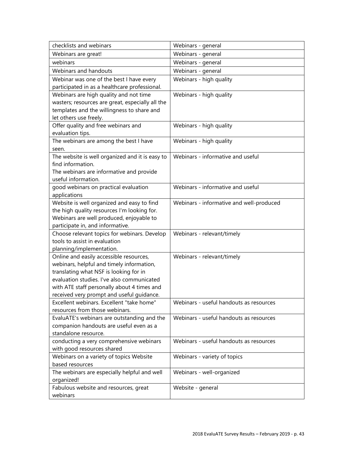| checklists and webinars                                             | Webinars - general                       |
|---------------------------------------------------------------------|------------------------------------------|
| Webinars are great!                                                 | Webinars - general                       |
| webinars                                                            | Webinars - general                       |
| Webinars and handouts                                               | Webinars - general                       |
| Webinar was one of the best I have every                            | Webinars - high quality                  |
| participated in as a healthcare professional.                       |                                          |
| Webinars are high quality and not time                              | Webinars - high quality                  |
| wasters; resources are great, especially all the                    |                                          |
| templates and the willingness to share and                          |                                          |
| let others use freely.                                              |                                          |
| Offer quality and free webinars and<br>evaluation tips.             | Webinars - high quality                  |
| The webinars are among the best I have                              | Webinars - high quality                  |
| seen.                                                               |                                          |
| The website is well organized and it is easy to                     | Webinars - informative and useful        |
| find information.                                                   |                                          |
| The webinars are informative and provide                            |                                          |
| useful information.                                                 |                                          |
| good webinars on practical evaluation                               | Webinars - informative and useful        |
| applications                                                        |                                          |
| Website is well organized and easy to find                          | Webinars - informative and well-produced |
| the high quality resources I'm looking for.                         |                                          |
| Webinars are well produced, enjoyable to                            |                                          |
| participate in, and informative.                                    |                                          |
| Choose relevant topics for webinars. Develop                        | Webinars - relevant/timely               |
| tools to assist in evaluation                                       |                                          |
| planning/implementation.<br>Online and easily accessible resources, | Webinars - relevant/timely               |
| webinars, helpful and timely information,                           |                                          |
| translating what NSF is looking for in                              |                                          |
| evaluation studies. I've also communicated                          |                                          |
| with ATE staff personally about 4 times and                         |                                          |
| received very prompt and useful quidance.                           |                                          |
| Excellent webinars. Excellent "take home"                           | Webinars - useful handouts as resources  |
| resources from those webinars.                                      |                                          |
| EvaluATE's webinars are outstanding and the                         | Webinars - useful handouts as resources  |
| companion handouts are useful even as a                             |                                          |
| standalone resource.                                                |                                          |
| conducting a very comprehensive webinars                            | Webinars - useful handouts as resources  |
| with good resources shared                                          |                                          |
| Webinars on a variety of topics Website                             | Webinars - variety of topics             |
| based resources                                                     |                                          |
| The webinars are especially helpful and well                        | Webinars - well-organized                |
| organized!                                                          |                                          |
| Fabulous website and resources, great<br>webinars                   | Website - general                        |
|                                                                     |                                          |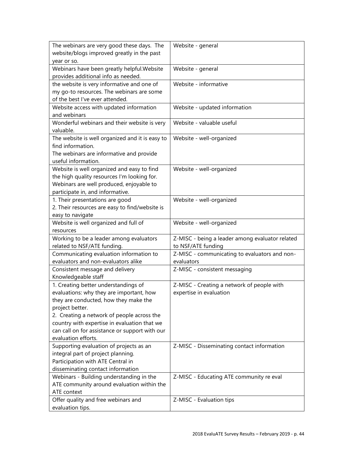| The webinars are very good these days. The      | Website - general                               |
|-------------------------------------------------|-------------------------------------------------|
| website/blogs improved greatly in the past      |                                                 |
| year or so.                                     |                                                 |
| Webinars have been greatly helpful. Website     | Website - general                               |
| provides additional info as needed.             |                                                 |
| the website is very informative and one of      | Website - informative                           |
| my go-to resources. The webinars are some       |                                                 |
| of the best I've ever attended.                 |                                                 |
| Website access with updated information         | Website - updated information                   |
| and webinars                                    |                                                 |
| Wonderful webinars and their website is very    | Website - valuable useful                       |
| valuable.                                       |                                                 |
| The website is well organized and it is easy to | Website - well-organized                        |
| find information.                               |                                                 |
| The webinars are informative and provide        |                                                 |
| useful information.                             |                                                 |
| Website is well organized and easy to find      | Website - well-organized                        |
| the high quality resources I'm looking for.     |                                                 |
| Webinars are well produced, enjoyable to        |                                                 |
| participate in, and informative.                |                                                 |
| 1. Their presentations are good                 | Website - well-organized                        |
| 2. Their resources are easy to find/website is  |                                                 |
| easy to navigate                                |                                                 |
| Website is well organized and full of           | Website - well-organized                        |
| resources                                       |                                                 |
| Working to be a leader among evaluators         | Z-MISC - being a leader among evaluator related |
| related to NSF/ATE funding.                     | to NSF/ATE funding                              |
| Communicating evaluation information to         | Z-MISC - communicating to evaluators and non-   |
| evaluators and non-evaluators alike             | evaluators                                      |
| Consistent message and delivery                 | Z-MISC - consistent messaging                   |
| Knowledgeable staff                             |                                                 |
| 1. Creating better understandings of            | Z-MISC - Creating a network of people with      |
| evaluations: why they are important, how        | expertise in evaluation                         |
| they are conducted, how they make the           |                                                 |
| project better.                                 |                                                 |
| 2. Creating a network of people across the      |                                                 |
| country with expertise in evaluation that we    |                                                 |
| can call on for assistance or support with our  |                                                 |
| evaluation efforts.                             |                                                 |
| Supporting evaluation of projects as an         | Z-MISC - Disseminating contact information      |
| integral part of project planning.              |                                                 |
| Participation with ATE Central in               |                                                 |
| disseminating contact information               |                                                 |
| Webinars - Building understanding in the        | Z-MISC - Educating ATE community re eval        |
| ATE community around evaluation within the      |                                                 |
| ATE context                                     |                                                 |
| Offer quality and free webinars and             | Z-MISC - Evaluation tips                        |
| evaluation tips.                                |                                                 |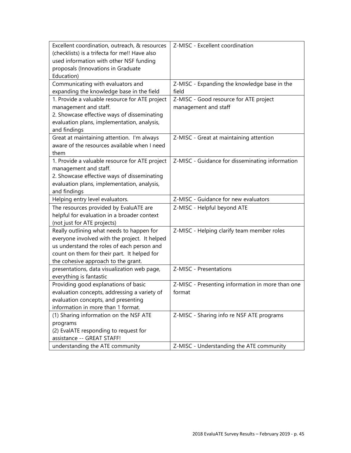| Excellent coordination, outreach, & resources                 | Z-MISC - Excellent coordination                  |
|---------------------------------------------------------------|--------------------------------------------------|
| (checklists) is a trifecta for me!! Have also                 |                                                  |
| used information with other NSF funding                       |                                                  |
| proposals (Innovations in Graduate                            |                                                  |
| Education)                                                    |                                                  |
| Communicating with evaluators and                             | Z-MISC - Expanding the knowledge base in the     |
| expanding the knowledge base in the field                     | field                                            |
| 1. Provide a valuable resource for ATE project                | Z-MISC - Good resource for ATE project           |
| management and staff.                                         | management and staff                             |
| 2. Showcase effective ways of disseminating                   |                                                  |
| evaluation plans, implementation, analysis,                   |                                                  |
| and findings                                                  |                                                  |
| Great at maintaining attention. I'm always                    | Z-MISC - Great at maintaining attention          |
| aware of the resources available when I need                  |                                                  |
| them                                                          |                                                  |
| 1. Provide a valuable resource for ATE project                | Z-MISC - Guidance for disseminating information  |
| management and staff.                                         |                                                  |
| 2. Showcase effective ways of disseminating                   |                                                  |
| evaluation plans, implementation, analysis,                   |                                                  |
| and findings                                                  |                                                  |
| Helping entry level evaluators.                               | Z-MISC - Guidance for new evaluators             |
| The resources provided by EvaluATE are                        | Z-MISC - Helpful beyond ATE                      |
| helpful for evaluation in a broader context                   |                                                  |
| (not just for ATE projects)                                   |                                                  |
| Really outlining what needs to happen for                     | Z-MISC - Helping clarify team member roles       |
| everyone involved with the project. It helped                 |                                                  |
| us understand the roles of each person and                    |                                                  |
| count on them for their part. It helped for                   |                                                  |
| the cohesive approach to the grant.                           |                                                  |
| presentations, data visualization web page,                   | Z-MISC - Presentations                           |
| everything is fantastic                                       |                                                  |
| Providing good explanations of basic                          | Z-MISC - Presenting information in more than one |
| evaluation concepts, addressing a variety of                  | format                                           |
| evaluation concepts, and presenting                           |                                                  |
| information in more than 1 format.                            |                                                  |
|                                                               |                                                  |
| (1) Sharing information on the NSF ATE                        | Z-MISC - Sharing info re NSF ATE programs        |
| programs                                                      |                                                  |
| (2) EvalATE responding to request for                         |                                                  |
| assistance -- GREAT STAFF!<br>understanding the ATE community | Z-MISC - Understanding the ATE community         |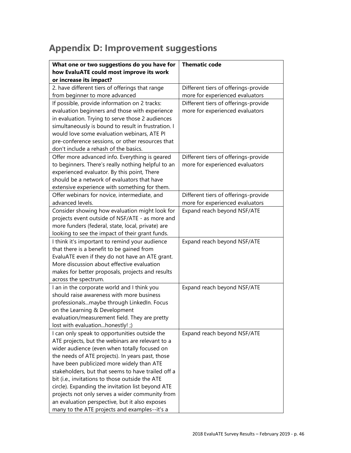## <span id="page-45-0"></span>**Appendix D: Improvement suggestions**

| What one or two suggestions do you have for                                                   | <b>Thematic code</b>                 |
|-----------------------------------------------------------------------------------------------|--------------------------------------|
| how EvaluATE could most improve its work                                                      |                                      |
| or increase its impact?                                                                       |                                      |
| 2. have different tiers of offerings that range                                               | Different tiers of offerings-provide |
| from beginner to more advanced                                                                | more for experienced evaluators      |
| If possible, provide information on 2 tracks:                                                 | Different tiers of offerings-provide |
| evaluation beginners and those with experience                                                | more for experienced evaluators      |
| in evaluation. Trying to serve those 2 audiences                                              |                                      |
| simultaneously is bound to result in frustration. I                                           |                                      |
| would love some evaluation webinars, ATE PI                                                   |                                      |
| pre-conference sessions, or other resources that                                              |                                      |
| don't include a rehash of the basics.                                                         |                                      |
| Offer more advanced info. Everything is geared                                                | Different tiers of offerings-provide |
| to beginners. There's really nothing helpful to an                                            | more for experienced evaluators      |
| experienced evaluator. By this point, There                                                   |                                      |
| should be a network of evaluators that have                                                   |                                      |
| extensive experience with something for them.                                                 |                                      |
| Offer webinars for novice, intermediate, and                                                  | Different tiers of offerings-provide |
| advanced levels.                                                                              | more for experienced evaluators      |
| Consider showing how evaluation might look for                                                | Expand reach beyond NSF/ATE          |
| projects event outside of NSF/ATE - as more and                                               |                                      |
| more funders (federal, state, local, private) are                                             |                                      |
| looking to see the impact of their grant funds.                                               |                                      |
| I think it's important to remind your audience                                                | Expand reach beyond NSF/ATE          |
| that there is a benefit to be gained from                                                     |                                      |
| EvaluATE even if they do not have an ATE grant.<br>More discussion about effective evaluation |                                      |
| makes for better proposals, projects and results                                              |                                      |
| across the spectrum.                                                                          |                                      |
| I an in the corporate world and I think you                                                   | Expand reach beyond NSF/ATE          |
| should raise awareness with more business                                                     |                                      |
| professionalsmaybe through LinkedIn. Focus                                                    |                                      |
| on the Learning & Development                                                                 |                                      |
| evaluation/measurement field. They are pretty                                                 |                                      |
| lost with evaluationhonestly! ;)                                                              |                                      |
| I can only speak to opportunities outside the                                                 | Expand reach beyond NSF/ATE          |
| ATE projects, but the webinars are relevant to a                                              |                                      |
| wider audience (even when totally focused on                                                  |                                      |
| the needs of ATE projects). In years past, those                                              |                                      |
| have been publicized more widely than ATE                                                     |                                      |
| stakeholders, but that seems to have trailed off a                                            |                                      |
| bit (i.e., invitations to those outside the ATE                                               |                                      |
| circle). Expanding the invitation list beyond ATE                                             |                                      |
| projects not only serves a wider community from                                               |                                      |
| an evaluation perspective, but it also exposes                                                |                                      |
| many to the ATE projects and examples--it's a                                                 |                                      |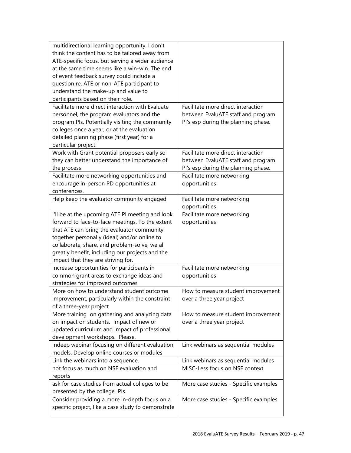| multidirectional learning opportunity. I don't     |                                       |
|----------------------------------------------------|---------------------------------------|
| think the content has to be tailored away from     |                                       |
| ATE-specific focus, but serving a wider audience   |                                       |
| at the same time seems like a win-win. The end     |                                       |
| of event feedback survey could include a           |                                       |
| question re. ATE or non-ATE participant to         |                                       |
| understand the make-up and value to                |                                       |
| participants based on their role.                  |                                       |
| Facilitate more direct interaction with Evaluate   | Facilitate more direct interaction    |
| personnel, the program evaluators and the          | between EvaluATE staff and program    |
| program Pls. Potentially visiting the community    | PI's esp during the planning phase.   |
| colleges once a year, or at the evaluation         |                                       |
| detailed planning phase (first year) for a         |                                       |
| particular project.                                |                                       |
| Work with Grant potential proposers early so       | Facilitate more direct interaction    |
| they can better understand the importance of       | between EvaluATE staff and program    |
| the process                                        | PI's esp during the planning phase.   |
| Facilitate more networking opportunities and       | Facilitate more networking            |
| encourage in-person PD opportunities at            | opportunities                         |
| conferences.                                       |                                       |
| Help keep the evaluator community engaged          | Facilitate more networking            |
|                                                    | opportunities                         |
| I'll be at the upcoming ATE PI meeting and look    | Facilitate more networking            |
| forward to face-to-face meetings. To the extent    | opportunities                         |
| that ATE can bring the evaluator community         |                                       |
| together personally (ideal) and/or online to       |                                       |
| collaborate, share, and problem-solve, we all      |                                       |
| greatly benefit, including our projects and the    |                                       |
| impact that they are striving for.                 |                                       |
| Increase opportunities for participants in         | Facilitate more networking            |
| common grant areas to exchange ideas and           | opportunities                         |
| strategies for improved outcomes                   |                                       |
| More on how to understand student outcome          | How to measure student improvement    |
| improvement, particularly within the constraint    | over a three year project             |
| of a three-year project                            |                                       |
| More training on gathering and analyzing data      | How to measure student improvement    |
| on impact on students. Impact of new or            | over a three year project             |
| updated curriculum and impact of professional      |                                       |
| development workshops. Please.                     |                                       |
| Indeep webinar focusing on different evaluation    | Link webinars as sequential modules   |
| models. Develop online courses or modules          |                                       |
| Link the webinars into a sequence.                 | Link webinars as sequential modules   |
| not focus as much on NSF evaluation and            | MISC-Less focus on NSF context        |
| reports                                            |                                       |
| ask for case studies from actual colleges to be    | More case studies - Specific examples |
| presented by the college Pls                       |                                       |
| Consider providing a more in-depth focus on a      | More case studies - Specific examples |
| specific project, like a case study to demonstrate |                                       |
|                                                    |                                       |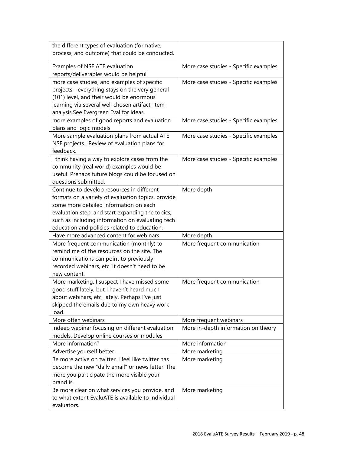| the different types of evaluation (formative,<br>process, and outcome) that could be conducted.                                                                                                                                                                                                    |                                       |
|----------------------------------------------------------------------------------------------------------------------------------------------------------------------------------------------------------------------------------------------------------------------------------------------------|---------------------------------------|
| Examples of NSF ATE evaluation<br>reports/deliverables would be helpful                                                                                                                                                                                                                            | More case studies - Specific examples |
| more case studies, and examples of specific<br>projects - everything stays on the very general<br>(101) level, and their would be enormous<br>learning via several well chosen artifact, item,<br>analysis.See Evergreen Eval for ideas.                                                           | More case studies - Specific examples |
| more examples of good reports and evaluation<br>plans and logic models                                                                                                                                                                                                                             | More case studies - Specific examples |
| More sample evaluation plans from actual ATE<br>NSF projects. Review of evaluation plans for<br>feedback.                                                                                                                                                                                          | More case studies - Specific examples |
| I think having a way to explore cases from the<br>community (real world) examples would be<br>useful. Prehaps future blogs could be focused on<br>questions submitted.                                                                                                                             | More case studies - Specific examples |
| Continue to develop resources in different<br>formats on a variety of evaluation topics, provide<br>some more detailed information on each<br>evaluation step, and start expanding the topics,<br>such as including information on evaluating tech<br>education and policies related to education. | More depth                            |
| Have more advanced content for webinars                                                                                                                                                                                                                                                            | More depth                            |
| More frequent communication (monthly) to<br>remind me of the resources on the site. The<br>communications can point to previously<br>recorded webinars, etc. It doesn't need to be<br>new content.                                                                                                 | More frequent communication           |
| More marketing. I suspect I have missed some<br>good stuff lately, but I haven't heard much<br>about webinars, etc, lately. Perhaps I've just<br>skipped the emails due to my own heavy work<br>load.                                                                                              | More frequent communication           |
| More often webinars                                                                                                                                                                                                                                                                                | More frequent webinars                |
| Indeep webinar focusing on different evaluation<br>models. Develop online courses or modules                                                                                                                                                                                                       | More in-depth information on theory   |
| More information?                                                                                                                                                                                                                                                                                  | More information                      |
| Advertise yourself better                                                                                                                                                                                                                                                                          | More marketing                        |
| Be more active on twitter. I feel like twitter has<br>become the new "daily email" or news letter. The<br>more you participate the more visible your<br>brand is.                                                                                                                                  | More marketing                        |
| Be more clear on what services you provide, and<br>to what extent EvaluATE is available to individual<br>evaluators.                                                                                                                                                                               | More marketing                        |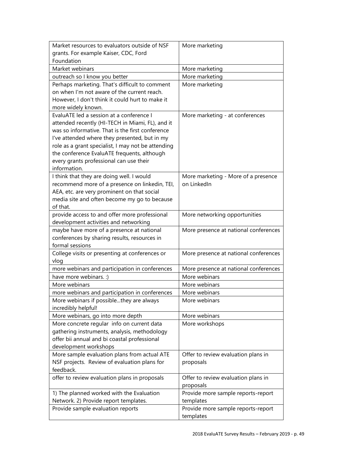| Market resources to evaluators outside of NSF      | More marketing                        |
|----------------------------------------------------|---------------------------------------|
| grants. For example Kaiser, CDC, Ford              |                                       |
| Foundation                                         |                                       |
| Market webinars                                    | More marketing                        |
| outreach so I know you better                      | More marketing                        |
| Perhaps marketing. That's difficult to comment     | More marketing                        |
| on when I'm not aware of the current reach.        |                                       |
| However, I don't think it could hurt to make it    |                                       |
| more widely known.                                 |                                       |
| EvaluATE led a session at a conference I           | More marketing - at conferences       |
| attended recently (HI-TECH in Miami, FL), and it   |                                       |
| was so informative. That is the first conference   |                                       |
| I've attended where they presented, but in my      |                                       |
| role as a grant specialist, I may not be attending |                                       |
| the conference EvaluATE frequents, although        |                                       |
| every grants professional can use their            |                                       |
| information.                                       |                                       |
| I think that they are doing well. I would          | More marketing - More of a presence   |
| recommend more of a presence on linkedin, TEI,     | on LinkedIn                           |
| AEA, etc. are very prominent on that social        |                                       |
| media site and often become my go to because       |                                       |
| of that.                                           |                                       |
| provide access to and offer more professional      | More networking opportunities         |
| development activities and networking              |                                       |
| maybe have more of a presence at national          | More presence at national conferences |
| conferences by sharing results, resources in       |                                       |
| formal sessions                                    |                                       |
| College visits or presenting at conferences or     | More presence at national conferences |
| vlog                                               |                                       |
| more webinars and participation in conferences     | More presence at national conferences |
| have more webinars. :)                             | More webinars                         |
| More webinars                                      | More webinars                         |
| more webinars and participation in conferences     | More webinars                         |
| More webinars if possiblethey are always           | More webinars                         |
| incredibly helpful!                                |                                       |
| More webinars, go into more depth                  | More webinars                         |
| More concrete regular info on current data         | More workshops                        |
| gathering instruments, analysis, methodology       |                                       |
| offer bii annual and bi coastal professional       |                                       |
| development workshops                              |                                       |
| More sample evaluation plans from actual ATE       | Offer to review evaluation plans in   |
| NSF projects. Review of evaluation plans for       | proposals                             |
| feedback.                                          |                                       |
| offer to review evaluation plans in proposals      | Offer to review evaluation plans in   |
|                                                    | proposals                             |
| 1) The planned worked with the Evaluation          | Provide more sample reports-report    |
| Network. 2) Provide report templates.              | templates                             |
| Provide sample evaluation reports                  | Provide more sample reports-report    |
|                                                    | templates                             |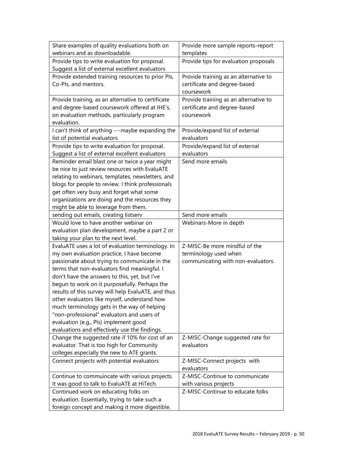| Share examples of quality evaluations both on       | Provide more sample reports-report    |
|-----------------------------------------------------|---------------------------------------|
| webinars and as downloadable.                       | templates                             |
| Provide tips to write evaluation for proposal.      | Provide tips for evaluation proposals |
| Suggest a list of external excellent evaluators     |                                       |
| Provide extended training resources to prior Pls,   | Provide training as an alternative to |
| Co-Pls, and mentors.                                | certificate and degree-based          |
|                                                     | coursework                            |
| Provide training, as an alternative to certificate  | Provide training as an alternative to |
| and degree-based coursework offered at IHE's,       | certificate and degree-based          |
| on evaluation methods, particularly program         | coursework                            |
| evaluation.                                         |                                       |
| I can't think of anything ---maybe expanding the    | Provide/expand list of external       |
| list of potential evaluators                        | evaluators                            |
| Provide tips to write evaluation for proposal.      | Provide/expand list of external       |
| Suggest a list of external excellent evaluators     | evaluators                            |
| Reminder email blast one or twice a year might      | Send more emails                      |
| be nice to just review resources with EvaluATE      |                                       |
| relating to webinars, templates, newsletters, and   |                                       |
| blogs for people to review. I think professionals   |                                       |
| get often very busy and forget what some            |                                       |
| organizations are doing and the resources they      |                                       |
| might be able to leverage from them.                |                                       |
| sending out emails, creating listserv               | Send more emails                      |
| Would love to have another webinar on               | Webinars-More in depth                |
| evaluation plan development, maybe a part 2 or      |                                       |
| taking your plan to the next level.                 |                                       |
| EvaluATE uses a lot of evaluation terminology. In   | Z-MISC-Be more mindful of the         |
| my own evaluation practice, I have become           | terminology used when                 |
| passionate about trying to communicate in the       | communicating with non-evaluators.    |
| terms that non-evaluators find meaningful. I        |                                       |
| don't have the answers to this, yet, but I've       |                                       |
| begun to work on it purposefully. Perhaps the       |                                       |
| results of this survey will help EvaluATE, and thus |                                       |
| other evaluators like myself, understand how        |                                       |
| much terminology gets in the way of helping         |                                       |
| "non-professional" evaluators and users of          |                                       |
| evaluation (e.g., Pls) implement good               |                                       |
| evaluations and effectively use the findings.       |                                       |
| Change the suggested rate if 10% for cost of an     | Z-MISC-Change suggested rate for      |
| evaluator. That is too high for Community           | evaluators                            |
| colleges especially the new to ATE grants.          |                                       |
| Connect projects with potential evaluators          | Z-MISC-Connect projects with          |
|                                                     | evaluators                            |
| Continue to commuincate with various projects.      | Z-MISC-Continue to communicate        |
| It was good to talk to EvaluATE at HiTech.          | with various projects                 |
| Continued work on educating folks on                | Z-MISC-Continue to educate folks      |
| evaluation. Essentially, trying to take such a      |                                       |
| foreign concept and making it more digestible.      |                                       |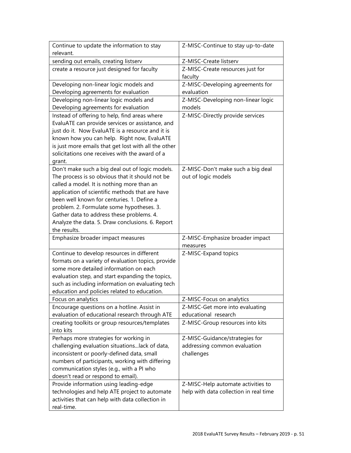|                                                                                                      | Z-MISC-Continue to stay up-to-date          |
|------------------------------------------------------------------------------------------------------|---------------------------------------------|
| relevant.                                                                                            |                                             |
| sending out emails, creating listserv                                                                | Z-MISC-Create listserv                      |
| create a resource just designed for faculty                                                          | Z-MISC-Create resources just for<br>faculty |
| Developing non-linear logic models and                                                               | Z-MISC-Developing agreements for            |
| Developing agreements for evaluation                                                                 | evaluation                                  |
| Developing non-linear logic models and                                                               | Z-MISC-Developing non-linear logic          |
| Developing agreements for evaluation                                                                 | models                                      |
|                                                                                                      |                                             |
| Instead of offering to help, find areas where                                                        | Z-MISC-Directly provide services            |
| EvaluATE can provide services or assistance, and<br>just do it. Now EvaluATE is a resource and it is |                                             |
|                                                                                                      |                                             |
| known how you can help. Right now, EvaluATE                                                          |                                             |
| is just more emails that get lost with all the other                                                 |                                             |
| solicitations one receives with the award of a                                                       |                                             |
| grant.                                                                                               |                                             |
| Don't make such a big deal out of logic models.                                                      | Z-MISC-Don't make such a big deal           |
| The process is so obvious that it should not be                                                      | out of logic models                         |
| called a model. It is nothing more than an                                                           |                                             |
| application of scientific methods that are have                                                      |                                             |
| been well known for centuries. 1. Define a                                                           |                                             |
| problem. 2. Formulate some hypotheses. 3.                                                            |                                             |
| Gather data to address these problems. 4.                                                            |                                             |
| Analyze the data. 5. Draw conclusions. 6. Report                                                     |                                             |
| the results.                                                                                         |                                             |
| Emphasize broader impact measures                                                                    | Z-MISC-Emphasize broader impact             |
|                                                                                                      |                                             |
|                                                                                                      | measures                                    |
| Continue to develop resources in different                                                           | Z-MISC-Expand topics                        |
| formats on a variety of evaluation topics, provide                                                   |                                             |
| some more detailed information on each                                                               |                                             |
| evaluation step, and start expanding the topics,                                                     |                                             |
| such as including information on evaluating tech                                                     |                                             |
| education and policies related to education.                                                         |                                             |
| Focus on analytics                                                                                   | Z-MISC-Focus on analytics                   |
| Encourage questions on a hotline. Assist in                                                          | Z-MISC-Get more into evaluating             |
| evaluation of educational research through ATE                                                       | educational research                        |
| creating toolkits or group resources/templates                                                       | Z-MISC-Group resources into kits            |
| into kits                                                                                            |                                             |
| Perhaps more strategies for working in                                                               | Z-MISC-Guidance/strategies for              |
| challenging evaluation situationslack of data,                                                       | addressing common evaluation                |
| inconsistent or poorly-defined data, small                                                           | challenges                                  |
| numbers of participants, working with differing                                                      |                                             |
| communication styles (e.g., with a PI who                                                            |                                             |
| doesn't read or respond to email).                                                                   |                                             |
| Provide information using leading-edge                                                               | Z-MISC-Help automate activities to          |
| technologies and help ATE project to automate                                                        | help with data collection in real time      |
| activities that can help with data collection in                                                     |                                             |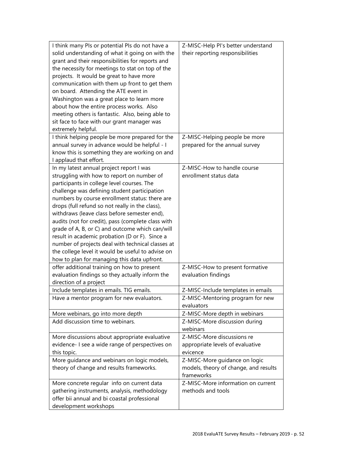| I think many PIs or potential PIs do not have a    | Z-MISC-Help PI's better understand    |
|----------------------------------------------------|---------------------------------------|
| solid understanding of what it going on with the   | their reporting responsibilities      |
| grant and their responsibilities for reports and   |                                       |
| the necessity for meetings to stat on top of the   |                                       |
| projects. It would be great to have more           |                                       |
| communication with them up front to get them       |                                       |
| on board. Attending the ATE event in               |                                       |
| Washington was a great place to learn more         |                                       |
| about how the entire process works. Also           |                                       |
| meeting others is fantastic. Also, being able to   |                                       |
| sit face to face with our grant manager was        |                                       |
| extremely helpful.                                 |                                       |
| I think helping people be more prepared for the    | Z-MISC-Helping people be more         |
| annual survey in advance would be helpful - I      | prepared for the annual survey        |
| know this is something they are working on and     |                                       |
| I applaud that effort.                             |                                       |
| In my latest annual project report I was           | Z-MISC-How to handle course           |
| struggling with how to report on number of         | enrollment status data                |
| participants in college level courses. The         |                                       |
| challenge was defining student participation       |                                       |
| numbers by course enrollment status: there are     |                                       |
| drops (full refund so not really in the class),    |                                       |
| withdraws (leave class before semester end),       |                                       |
| audits (not for credit), pass (complete class with |                                       |
| grade of A, B, or C) and outcome which can/will    |                                       |
| result in academic probation (D or F). Since a     |                                       |
| number of projects deal with technical classes at  |                                       |
| the college level it would be useful to advise on  |                                       |
| how to plan for managing this data upfront.        |                                       |
| offer additional training on how to present        | Z-MISC-How to present formative       |
| evaluation findings so they actually inform the    | evaluation findings                   |
| direction of a project                             |                                       |
| Include templates in emails. TIG emails.           | Z-MISC-Include templates in emails    |
| Have a mentor program for new evaluators.          | Z-MISC-Mentoring program for new      |
|                                                    | evaluators                            |
| More webinars, go into more depth                  | Z-MISC-More depth in webinars         |
| Add discussion time to webinars.                   | Z-MISC-More discussion during         |
|                                                    | webinars                              |
| More discussions about appropriate evaluative      | Z-MISC-More discussions re            |
| evidence- I see a wide range of perspectives on    | appropriate levels of evaluative      |
| this topic.                                        | evicence                              |
| More guidance and webinars on logic models,        | Z-MISC-More guidance on logic         |
| theory of change and results frameworks.           | models, theory of change, and results |
|                                                    | frameworks                            |
| More concrete regular info on current data         | Z-MISC-More information on current    |
| gathering instruments, analysis, methodology       | methods and tools                     |
| offer bii annual and bi coastal professional       |                                       |
| development workshops                              |                                       |